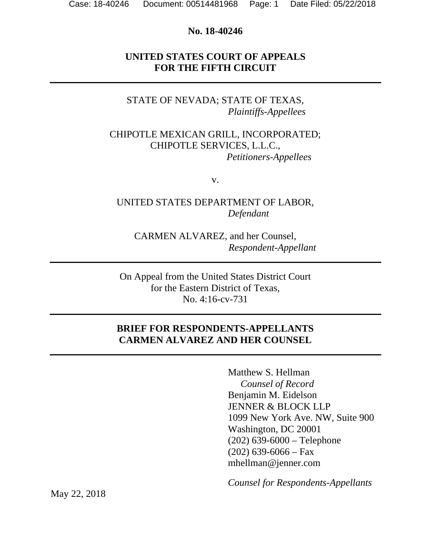#### **No. 18-40246**

### **UNITED STATES COURT OF APPEALS FOR THE FIFTH CIRCUIT**

## STATE OF NEVADA; STATE OF TEXAS,  *Plaintiffs-Appellees*

#### CHIPOTLE MEXICAN GRILL, INCORPORATED; CHIPOTLE SERVICES, L.L.C., *Petitioners-Appellees*

v.

## UNITED STATES DEPARTMENT OF LABOR,  *Defendant*

CARMEN ALVAREZ, and her Counsel, *Respondent-Appellant* 

On Appeal from the United States District Court for the Eastern District of Texas, No. 4:16-cv-731

## **BRIEF FOR RESPONDENTS-APPELLANTS CARMEN ALVAREZ AND HER COUNSEL**

Matthew S. Hellman *Counsel of Record*  Benjamin M. Eidelson JENNER & BLOCK LLP 1099 New York Ave. NW, Suite 900 Washington, DC 20001 (202) 639-6000 – Telephone  $(202)$  639-6066 – Fax mhellman@jenner.com

*Counsel for Respondents-Appellants* 

May 22, 2018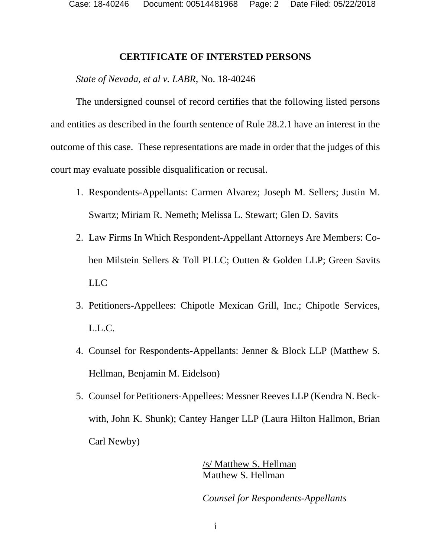Case: 18-40246 Document: 00514481968 Page: 2 Date Filed: 05/22/2018

#### **CERTIFICATE OF INTERSTED PERSONS**

#### *State of Nevada, et al v. LABR*, No. 18-40246

The undersigned counsel of record certifies that the following listed persons and entities as described in the fourth sentence of Rule 28.2.1 have an interest in the outcome of this case. These representations are made in order that the judges of this court may evaluate possible disqualification or recusal.

- 1. Respondents-Appellants: Carmen Alvarez; Joseph M. Sellers; Justin M. Swartz; Miriam R. Nemeth; Melissa L. Stewart; Glen D. Savits
- 2. Law Firms In Which Respondent-Appellant Attorneys Are Members: Cohen Milstein Sellers & Toll PLLC; Outten & Golden LLP; Green Savits LLC
- 3. Petitioners-Appellees: Chipotle Mexican Grill, Inc.; Chipotle Services, L.L.C.
- 4. Counsel for Respondents-Appellants: Jenner & Block LLP (Matthew S. Hellman, Benjamin M. Eidelson)
- 5. Counsel for Petitioners-Appellees: Messner Reeves LLP (Kendra N. Beckwith, John K. Shunk); Cantey Hanger LLP (Laura Hilton Hallmon, Brian Carl Newby)

/s/ Matthew S. Hellman Matthew S. Hellman

*Counsel for Respondents-Appellants*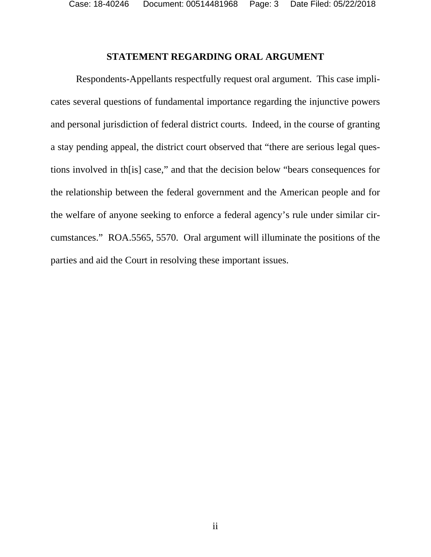Case: 18-40246 Document: 00514481968 Page: 3 Date Filed: 05/22/2018

#### **STATEMENT REGARDING ORAL ARGUMENT**

 Respondents-Appellants respectfully request oral argument. This case implicates several questions of fundamental importance regarding the injunctive powers and personal jurisdiction of federal district courts. Indeed, in the course of granting a stay pending appeal, the district court observed that "there are serious legal questions involved in th[is] case," and that the decision below "bears consequences for the relationship between the federal government and the American people and for the welfare of anyone seeking to enforce a federal agency's rule under similar circumstances." ROA.5565, 5570. Oral argument will illuminate the positions of the parties and aid the Court in resolving these important issues.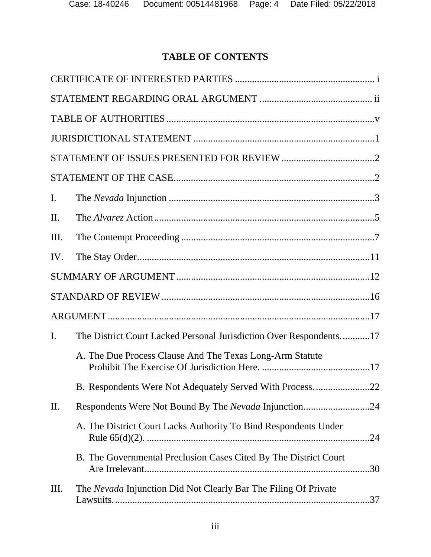# **TABLE OF CONTENTS**

| $\mathbf{I}$ . |                                                                        |
|----------------|------------------------------------------------------------------------|
| II.            |                                                                        |
| Ш.             |                                                                        |
| IV.            |                                                                        |
|                |                                                                        |
|                |                                                                        |
|                |                                                                        |
| I.             | The District Court Lacked Personal Jurisdiction Over Respondents17     |
|                | A. The Due Process Clause And The Texas Long-Arm Statute               |
|                | B. Respondents Were Not Adequately Served With Process. 22             |
| II.            |                                                                        |
|                | A. The District Court Lacks Authority To Bind Respondents Under        |
|                | B. The Governmental Preclusion Cases Cited By The District Court       |
| Ш.             | The Nevada Injunction Did Not Clearly Bar The Filing Of Private<br>.37 |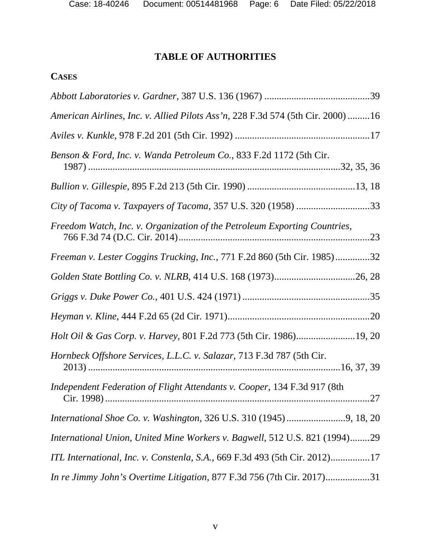## **TABLE OF AUTHORITIES**

## **CASES**

| American Airlines, Inc. v. Allied Pilots Ass'n, 228 F.3d 574 (5th Cir. 2000) 16  |
|----------------------------------------------------------------------------------|
|                                                                                  |
| Benson & Ford, Inc. v. Wanda Petroleum Co., 833 F.2d 1172 (5th Cir.              |
|                                                                                  |
| City of Tacoma v. Taxpayers of Tacoma, 357 U.S. 320 (1958) 33                    |
| Freedom Watch, Inc. v. Organization of the Petroleum Exporting Countries,<br>.23 |
| Freeman v. Lester Coggins Trucking, Inc., 771 F.2d 860 (5th Cir. 1985)32         |
|                                                                                  |
|                                                                                  |
|                                                                                  |
|                                                                                  |
| Hornbeck Offshore Services, L.L.C. v. Salazar, 713 F.3d 787 (5th Cir.            |
| Independent Federation of Flight Attendants v. Cooper, 134 F.3d 917 (8th         |
|                                                                                  |
| International Union, United Mine Workers v. Bagwell, 512 U.S. 821 (1994)29       |
| ITL International, Inc. v. Constenla, S.A., 669 F.3d 493 (5th Cir. 2012)17       |
| In re Jimmy John's Overtime Litigation, 877 F.3d 756 (7th Cir. 2017)31           |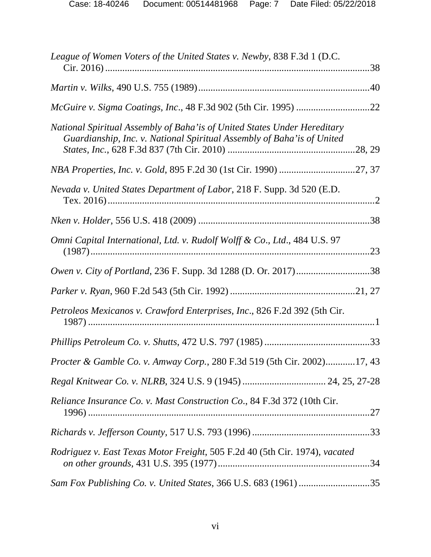| League of Women Voters of the United States v. Newby, 838 F.3d 1 (D.C.                                                                               |     |
|------------------------------------------------------------------------------------------------------------------------------------------------------|-----|
|                                                                                                                                                      |     |
|                                                                                                                                                      |     |
| National Spiritual Assembly of Baha' is of United States Under Hereditary<br>Guardianship, Inc. v. National Spiritual Assembly of Baha' is of United |     |
|                                                                                                                                                      |     |
| Nevada v. United States Department of Labor, 218 F. Supp. 3d 520 (E.D.                                                                               |     |
|                                                                                                                                                      |     |
| Omni Capital International, Ltd. v. Rudolf Wolff & Co., Ltd., 484 U.S. 97                                                                            |     |
|                                                                                                                                                      |     |
|                                                                                                                                                      |     |
| Petroleos Mexicanos v. Crawford Enterprises, Inc., 826 F.2d 392 (5th Cir.                                                                            |     |
|                                                                                                                                                      |     |
| Procter & Gamble Co. v. Amway Corp., 280 F.3d 519 (5th Cir. 2002)17, 43                                                                              |     |
| Regal Knitwear Co. v. NLRB, 324 U.S. 9 (1945)  24, 25, 27-28                                                                                         |     |
| Reliance Insurance Co. v. Mast Construction Co., 84 F.3d 372 (10th Cir.                                                                              |     |
|                                                                                                                                                      |     |
| Rodriguez v. East Texas Motor Freight, 505 F.2d 40 (5th Cir. 1974), vacated                                                                          | .34 |
|                                                                                                                                                      |     |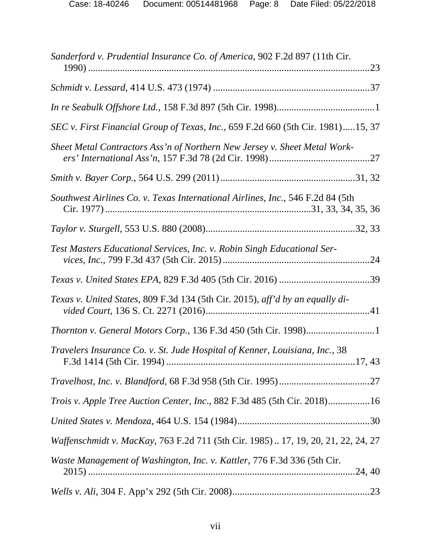| Sanderford v. Prudential Insurance Co. of America, 902 F.2d 897 (11th Cir.       |
|----------------------------------------------------------------------------------|
|                                                                                  |
|                                                                                  |
| SEC v. First Financial Group of Texas, Inc., 659 F.2d 660 (5th Cir. 1981)15, 37  |
| Sheet Metal Contractors Ass'n of Northern New Jersey v. Sheet Metal Work-        |
|                                                                                  |
| Southwest Airlines Co. v. Texas International Airlines, Inc., 546 F.2d 84 (5th   |
|                                                                                  |
| Test Masters Educational Services, Inc. v. Robin Singh Educational Ser-          |
|                                                                                  |
| Texas v. United States, 809 F.3d 134 (5th Cir. 2015), aff'd by an equally di-    |
| <i>Thornton v. General Motors Corp., 136 F.3d 450 (5th Cir. 1998)</i> 1          |
| Travelers Insurance Co. v. St. Jude Hospital of Kenner, Louisiana, Inc., 38      |
|                                                                                  |
| Trois v. Apple Tree Auction Center, Inc., 882 F.3d 485 (5th Cir. 2018)16         |
|                                                                                  |
| Waffenschmidt v. MacKay, 763 F.2d 711 (5th Cir. 1985) 17, 19, 20, 21, 22, 24, 27 |
| Waste Management of Washington, Inc. v. Kattler, 776 F.3d 336 (5th Cir.          |
|                                                                                  |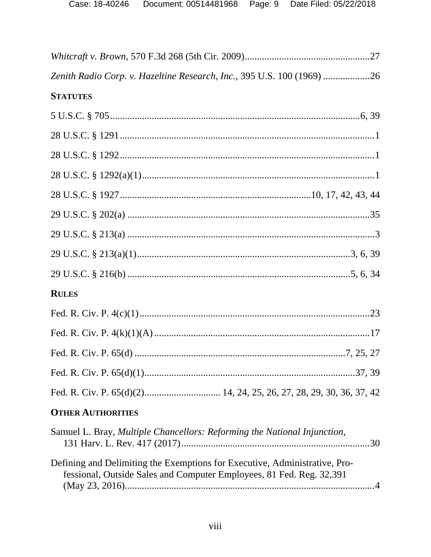| Zenith Radio Corp. v. Hazeltine Research, Inc., 395 U.S. 100 (1969) 26                                                                             |
|----------------------------------------------------------------------------------------------------------------------------------------------------|
| <b>STATUTES</b>                                                                                                                                    |
|                                                                                                                                                    |
|                                                                                                                                                    |
|                                                                                                                                                    |
|                                                                                                                                                    |
|                                                                                                                                                    |
|                                                                                                                                                    |
|                                                                                                                                                    |
|                                                                                                                                                    |
|                                                                                                                                                    |
| <b>RULES</b>                                                                                                                                       |
|                                                                                                                                                    |
|                                                                                                                                                    |
|                                                                                                                                                    |
|                                                                                                                                                    |
|                                                                                                                                                    |
| <b>OTHER AUTHORITIES</b>                                                                                                                           |
| Samuel L. Bray, Multiple Chancellors: Reforming the National Injunction,                                                                           |
| Defining and Delimiting the Exemptions for Executive, Administrative, Pro-<br>fessional, Outside Sales and Computer Employees, 81 Fed. Reg. 32,391 |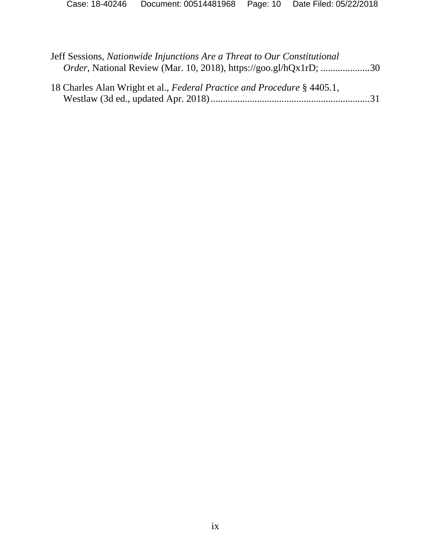| Jeff Sessions, Nationwide Injunctions Are a Threat to Our Constitutional<br>Order, National Review (Mar. 10, 2018), https://goo.gl/hQx1rD; 30 |  |
|-----------------------------------------------------------------------------------------------------------------------------------------------|--|
| 18 Charles Alan Wright et al., Federal Practice and Procedure § 4405.1,                                                                       |  |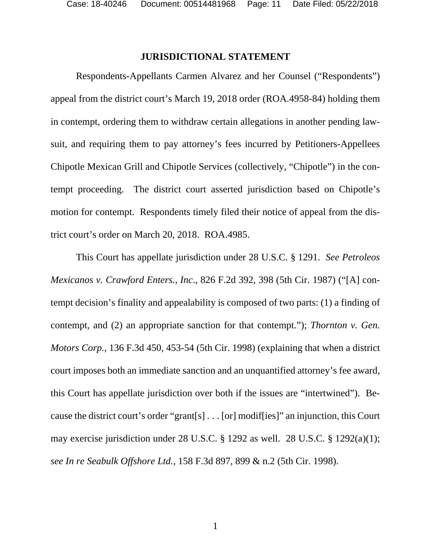#### **JURISDICTIONAL STATEMENT**

Respondents-Appellants Carmen Alvarez and her Counsel ("Respondents") appeal from the district court's March 19, 2018 order (ROA.4958-84) holding them in contempt, ordering them to withdraw certain allegations in another pending lawsuit, and requiring them to pay attorney's fees incurred by Petitioners-Appellees Chipotle Mexican Grill and Chipotle Services (collectively, "Chipotle") in the contempt proceeding. The district court asserted jurisdiction based on Chipotle's motion for contempt. Respondents timely filed their notice of appeal from the district court's order on March 20, 2018. ROA.4985.

This Court has appellate jurisdiction under 28 U.S.C. § 1291. *See Petroleos Mexicanos v. Crawford Enters., Inc*., 826 F.2d 392, 398 (5th Cir. 1987) ("[A] contempt decision's finality and appealability is composed of two parts: (1) a finding of contempt, and (2) an appropriate sanction for that contempt."); *Thornton v. Gen. Motors Corp.*, 136 F.3d 450, 453-54 (5th Cir. 1998) (explaining that when a district court imposes both an immediate sanction and an unquantified attorney's fee award, this Court has appellate jurisdiction over both if the issues are "intertwined"). Because the district court's order "grant[s] . . . [or] modif[ies]" an injunction, this Court may exercise jurisdiction under 28 U.S.C. § 1292 as well. 28 U.S.C. § 1292(a)(1); *see In re Seabulk Offshore Ltd.*, 158 F.3d 897, 899 & n.2 (5th Cir. 1998).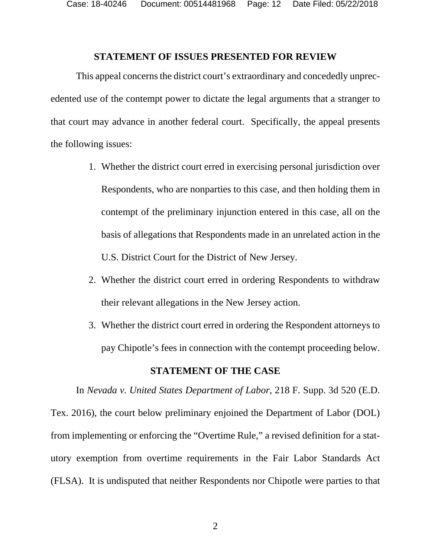#### **STATEMENT OF ISSUES PRESENTED FOR REVIEW**

This appeal concerns the district court's extraordinary and concededly unprecedented use of the contempt power to dictate the legal arguments that a stranger to that court may advance in another federal court. Specifically, the appeal presents the following issues:

- 1. Whether the district court erred in exercising personal jurisdiction over Respondents, who are nonparties to this case, and then holding them in contempt of the preliminary injunction entered in this case, all on the basis of allegations that Respondents made in an unrelated action in the U.S. District Court for the District of New Jersey.
- 2. Whether the district court erred in ordering Respondents to withdraw their relevant allegations in the New Jersey action.
- 3. Whether the district court erred in ordering the Respondent attorneys to pay Chipotle's fees in connection with the contempt proceeding below.

#### **STATEMENT OF THE CASE**

In *Nevada v. United States Department of Labor*, 218 F. Supp. 3d 520 (E.D. Tex. 2016), the court below preliminary enjoined the Department of Labor (DOL) from implementing or enforcing the "Overtime Rule," a revised definition for a statutory exemption from overtime requirements in the Fair Labor Standards Act (FLSA). It is undisputed that neither Respondents nor Chipotle were parties to that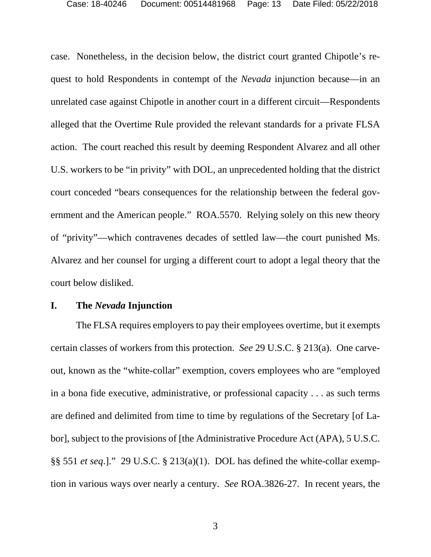case. Nonetheless, in the decision below, the district court granted Chipotle's request to hold Respondents in contempt of the *Nevada* injunction because—in an unrelated case against Chipotle in another court in a different circuit—Respondents alleged that the Overtime Rule provided the relevant standards for a private FLSA action. The court reached this result by deeming Respondent Alvarez and all other U.S. workers to be "in privity" with DOL, an unprecedented holding that the district court conceded "bears consequences for the relationship between the federal government and the American people." ROA.5570. Relying solely on this new theory of "privity"—which contravenes decades of settled law—the court punished Ms. Alvarez and her counsel for urging a different court to adopt a legal theory that the court below disliked.

#### **I. The** *Nevada* **Injunction**

The FLSA requires employers to pay their employees overtime, but it exempts certain classes of workers from this protection. *See* 29 U.S.C. § 213(a). One carveout, known as the "white-collar" exemption, covers employees who are "employed in a bona fide executive, administrative, or professional capacity . . . as such terms are defined and delimited from time to time by regulations of the Secretary [of Labor], subject to the provisions of [the Administrative Procedure Act (APA), 5 U.S.C. §§ 551 *et seq*.]." 29 U.S.C. § 213(a)(1). DOL has defined the white-collar exemption in various ways over nearly a century. *See* ROA.3826-27. In recent years, the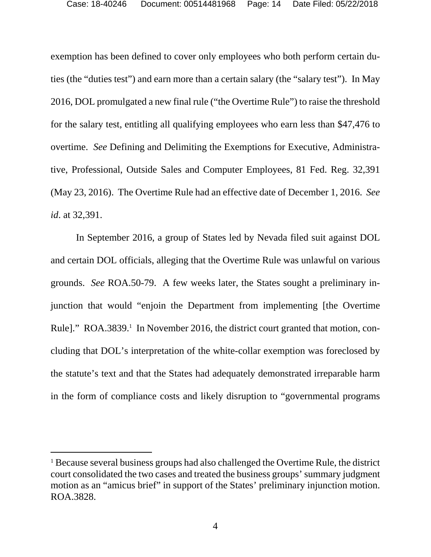exemption has been defined to cover only employees who both perform certain duties (the "duties test") and earn more than a certain salary (the "salary test"). In May 2016, DOL promulgated a new final rule ("the Overtime Rule") to raise the threshold for the salary test, entitling all qualifying employees who earn less than \$47,476 to overtime. *See* Defining and Delimiting the Exemptions for Executive, Administrative, Professional, Outside Sales and Computer Employees, 81 Fed. Reg. 32,391 (May 23, 2016). The Overtime Rule had an effective date of December 1, 2016. *See id*. at 32,391.

In September 2016, a group of States led by Nevada filed suit against DOL and certain DOL officials, alleging that the Overtime Rule was unlawful on various grounds. *See* ROA.50-79. A few weeks later, the States sought a preliminary injunction that would "enjoin the Department from implementing [the Overtime Rule]." ROA.3839.<sup>1</sup> In November 2016, the district court granted that motion, concluding that DOL's interpretation of the white-collar exemption was foreclosed by the statute's text and that the States had adequately demonstrated irreparable harm in the form of compliance costs and likely disruption to "governmental programs

-

<sup>&</sup>lt;sup>1</sup> Because several business groups had also challenged the Overtime Rule, the district court consolidated the two cases and treated the business groups' summary judgment motion as an "amicus brief" in support of the States' preliminary injunction motion. ROA.3828.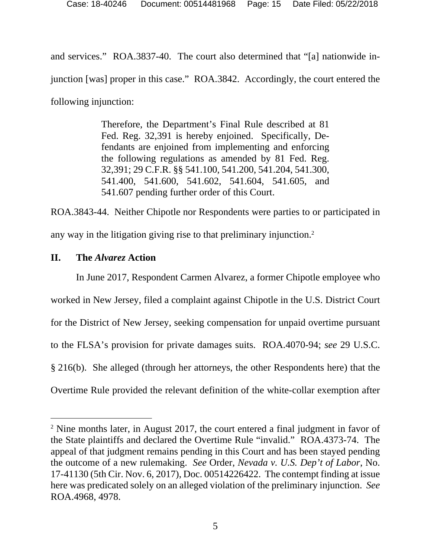and services." ROA.3837-40. The court also determined that "[a] nationwide injunction [was] proper in this case." ROA.3842. Accordingly, the court entered the following injunction:

> Therefore, the Department's Final Rule described at 81 Fed. Reg. 32,391 is hereby enjoined. Specifically, Defendants are enjoined from implementing and enforcing the following regulations as amended by 81 Fed. Reg. 32,391; 29 C.F.R. §§ 541.100, 541.200, 541.204, 541.300, 541.400, 541.600, 541.602, 541.604, 541.605, and 541.607 pending further order of this Court.

ROA.3843-44. Neither Chipotle nor Respondents were parties to or participated in any way in the litigation giving rise to that preliminary injunction.2

## **II. The** *Alvarez* **Action**

-

In June 2017, Respondent Carmen Alvarez, a former Chipotle employee who worked in New Jersey, filed a complaint against Chipotle in the U.S. District Court for the District of New Jersey, seeking compensation for unpaid overtime pursuant to the FLSA's provision for private damages suits. ROA.4070-94; *see* 29 U.S.C. § 216(b). She alleged (through her attorneys, the other Respondents here) that the Overtime Rule provided the relevant definition of the white-collar exemption after

<sup>&</sup>lt;sup>2</sup> Nine months later, in August 2017, the court entered a final judgment in favor of the State plaintiffs and declared the Overtime Rule "invalid." ROA.4373-74. The appeal of that judgment remains pending in this Court and has been stayed pending the outcome of a new rulemaking. *See* Order, *Nevada v. U.S. Dep't of Labor*, No. 17-41130 (5th Cir. Nov. 6, 2017), Doc. 00514226422. The contempt finding at issue here was predicated solely on an alleged violation of the preliminary injunction. *See* ROA.4968, 4978.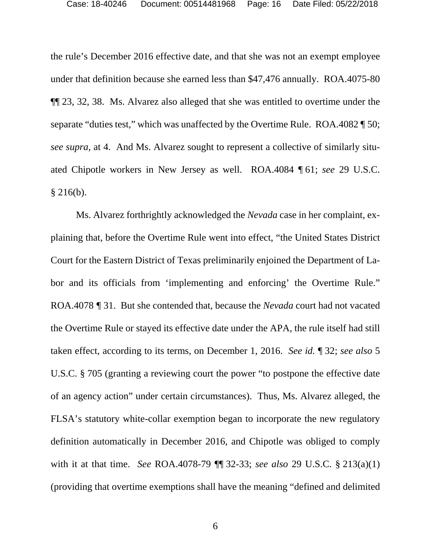the rule's December 2016 effective date, and that she was not an exempt employee under that definition because she earned less than \$47,476 annually. ROA.4075-80 ¶¶ 23, 32, 38. Ms. Alvarez also alleged that she was entitled to overtime under the separate "duties test," which was unaffected by the Overtime Rule. ROA.4082 ¶ 50; *see supra*, at 4. And Ms. Alvarez sought to represent a collective of similarly situated Chipotle workers in New Jersey as well. ROA.4084 ¶ 61; *see* 29 U.S.C.  $§$  216(b).

Ms. Alvarez forthrightly acknowledged the *Nevada* case in her complaint, explaining that, before the Overtime Rule went into effect, "the United States District Court for the Eastern District of Texas preliminarily enjoined the Department of Labor and its officials from 'implementing and enforcing' the Overtime Rule." ROA.4078 *¶* 31. But she contended that, because the *Nevada* court had not vacated the Overtime Rule or stayed its effective date under the APA, the rule itself had still taken effect, according to its terms, on December 1, 2016. *See id.* ¶ 32; *see also* 5 U.S.C. § 705 (granting a reviewing court the power "to postpone the effective date of an agency action" under certain circumstances). Thus, Ms. Alvarez alleged, the FLSA's statutory white-collar exemption began to incorporate the new regulatory definition automatically in December 2016, and Chipotle was obliged to comply with it at that time. *See* ROA.4078-79 ¶¶ 32-33; *see also* 29 U.S.C. § 213(a)(1) (providing that overtime exemptions shall have the meaning "defined and delimited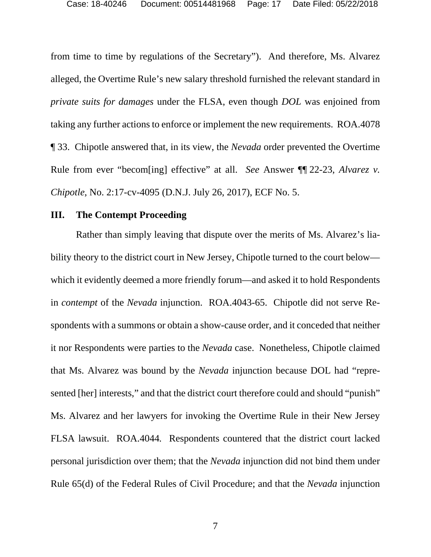from time to time by regulations of the Secretary"). And therefore, Ms. Alvarez alleged, the Overtime Rule's new salary threshold furnished the relevant standard in *private suits for damages* under the FLSA, even though *DOL* was enjoined from taking any further actions to enforce or implement the new requirements. ROA.4078 ¶ 33. Chipotle answered that, in its view, the *Nevada* order prevented the Overtime Rule from ever "becom[ing] effective" at all. *See* Answer ¶¶ 22-23, *Alvarez v. Chipotle*, No. 2:17-cv-4095 (D.N.J. July 26, 2017), ECF No. 5.

#### **III. The Contempt Proceeding**

Rather than simply leaving that dispute over the merits of Ms. Alvarez's liability theory to the district court in New Jersey, Chipotle turned to the court below which it evidently deemed a more friendly forum—and asked it to hold Respondents in *contempt* of the *Nevada* injunction. ROA.4043-65. Chipotle did not serve Respondents with a summons or obtain a show-cause order, and it conceded that neither it nor Respondents were parties to the *Nevada* case. Nonetheless, Chipotle claimed that Ms. Alvarez was bound by the *Nevada* injunction because DOL had "represented [her] interests," and that the district court therefore could and should "punish" Ms. Alvarez and her lawyers for invoking the Overtime Rule in their New Jersey FLSA lawsuit. ROA.4044*.* Respondents countered that the district court lacked personal jurisdiction over them; that the *Nevada* injunction did not bind them under Rule 65(d) of the Federal Rules of Civil Procedure; and that the *Nevada* injunction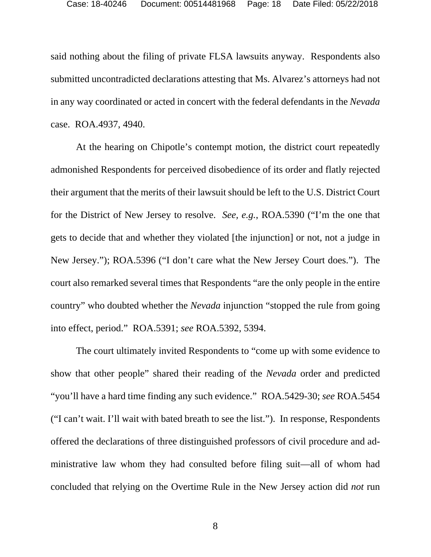said nothing about the filing of private FLSA lawsuits anyway. Respondents also submitted uncontradicted declarations attesting that Ms. Alvarez's attorneys had not in any way coordinated or acted in concert with the federal defendants in the *Nevada* case. ROA.4937, 4940.

At the hearing on Chipotle's contempt motion, the district court repeatedly admonished Respondents for perceived disobedience of its order and flatly rejected their argument that the merits of their lawsuit should be left to the U.S. District Court for the District of New Jersey to resolve. *See, e.g.*, ROA.5390 ("I'm the one that gets to decide that and whether they violated [the injunction] or not, not a judge in New Jersey."); ROA.5396 ("I don't care what the New Jersey Court does."). The court also remarked several times that Respondents "are the only people in the entire country" who doubted whether the *Nevada* injunction "stopped the rule from going into effect, period." ROA.5391; *see* ROA.5392, 5394.

The court ultimately invited Respondents to "come up with some evidence to show that other people" shared their reading of the *Nevada* order and predicted "you'll have a hard time finding any such evidence." ROA.5429-30; *see* ROA.5454 ("I can't wait. I'll wait with bated breath to see the list."). In response, Respondents offered the declarations of three distinguished professors of civil procedure and administrative law whom they had consulted before filing suit—all of whom had concluded that relying on the Overtime Rule in the New Jersey action did *not* run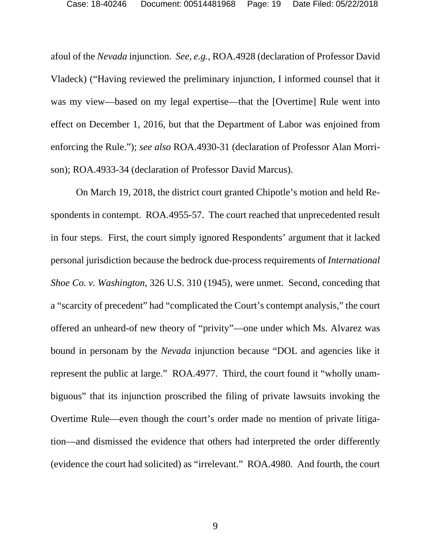afoul of the *Nevada* injunction. *See, e.g.*, ROA.4928 (declaration of Professor David Vladeck) ("Having reviewed the preliminary injunction, I informed counsel that it was my view—based on my legal expertise—that the [Overtime] Rule went into effect on December 1, 2016, but that the Department of Labor was enjoined from enforcing the Rule."); *see also* ROA.4930-31 (declaration of Professor Alan Morrison); ROA.4933-34 (declaration of Professor David Marcus).

On March 19, 2018, the district court granted Chipotle's motion and held Respondents in contempt. ROA.4955-57. The court reached that unprecedented result in four steps. First, the court simply ignored Respondents' argument that it lacked personal jurisdiction because the bedrock due-process requirements of *International Shoe Co. v. Washington*, 326 U.S. 310 (1945), were unmet. Second, conceding that a "scarcity of precedent" had "complicated the Court's contempt analysis," the court offered an unheard-of new theory of "privity"—one under which Ms. Alvarez was bound in personam by the *Nevada* injunction because "DOL and agencies like it represent the public at large." ROA.4977. Third, the court found it "wholly unambiguous" that its injunction proscribed the filing of private lawsuits invoking the Overtime Rule—even though the court's order made no mention of private litigation—and dismissed the evidence that others had interpreted the order differently (evidence the court had solicited) as "irrelevant." ROA.4980. And fourth, the court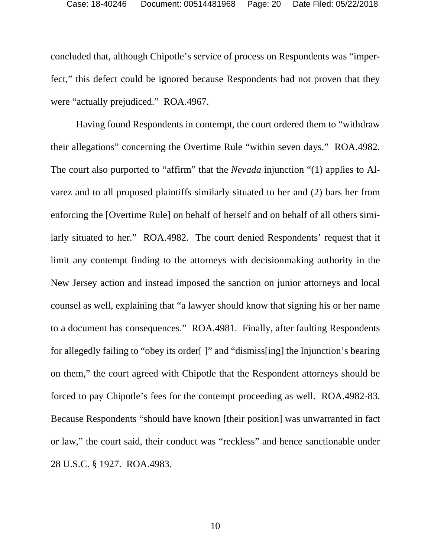concluded that, although Chipotle's service of process on Respondents was "imperfect," this defect could be ignored because Respondents had not proven that they were "actually prejudiced." ROA.4967.

Having found Respondents in contempt, the court ordered them to "withdraw their allegations" concerning the Overtime Rule "within seven days." ROA.4982. The court also purported to "affirm" that the *Nevada* injunction "(1) applies to Alvarez and to all proposed plaintiffs similarly situated to her and (2) bars her from enforcing the [Overtime Rule] on behalf of herself and on behalf of all others similarly situated to her." ROA.4982. The court denied Respondents' request that it limit any contempt finding to the attorneys with decisionmaking authority in the New Jersey action and instead imposed the sanction on junior attorneys and local counsel as well, explaining that "a lawyer should know that signing his or her name to a document has consequences." ROA.4981. Finally, after faulting Respondents for allegedly failing to "obey its order[ ]" and "dismiss[ing] the Injunction's bearing on them," the court agreed with Chipotle that the Respondent attorneys should be forced to pay Chipotle's fees for the contempt proceeding as well. ROA.4982-83. Because Respondents "should have known [their position] was unwarranted in fact or law," the court said, their conduct was "reckless" and hence sanctionable under 28 U.S.C. § 1927. ROA.4983.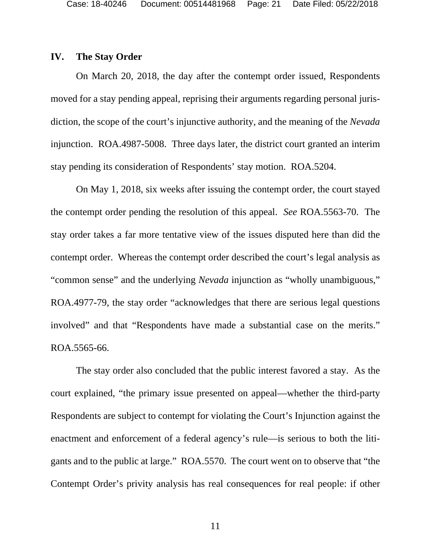#### **IV. The Stay Order**

On March 20, 2018, the day after the contempt order issued, Respondents moved for a stay pending appeal, reprising their arguments regarding personal jurisdiction, the scope of the court's injunctive authority, and the meaning of the *Nevada* injunction. ROA.4987-5008. Three days later, the district court granted an interim stay pending its consideration of Respondents' stay motion. ROA.5204.

On May 1, 2018, six weeks after issuing the contempt order, the court stayed the contempt order pending the resolution of this appeal. *See* ROA.5563-70. The stay order takes a far more tentative view of the issues disputed here than did the contempt order. Whereas the contempt order described the court's legal analysis as "common sense" and the underlying *Nevada* injunction as "wholly unambiguous," ROA.4977-79, the stay order "acknowledges that there are serious legal questions involved" and that "Respondents have made a substantial case on the merits." ROA.5565-66.

The stay order also concluded that the public interest favored a stay. As the court explained, "the primary issue presented on appeal—whether the third-party Respondents are subject to contempt for violating the Court's Injunction against the enactment and enforcement of a federal agency's rule—is serious to both the litigants and to the public at large." ROA.5570. The court went on to observe that "the Contempt Order's privity analysis has real consequences for real people: if other

11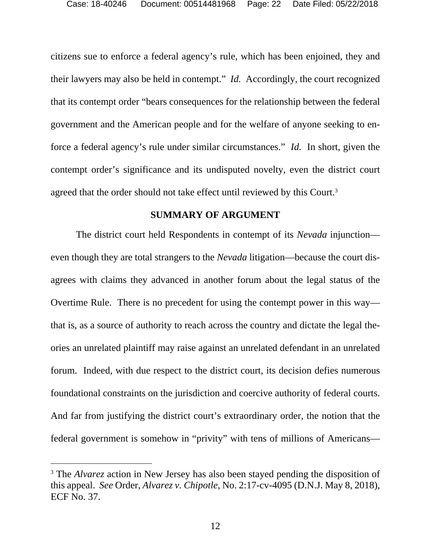citizens sue to enforce a federal agency's rule, which has been enjoined, they and their lawyers may also be held in contempt." *Id.* Accordingly, the court recognized that its contempt order "bears consequences for the relationship between the federal government and the American people and for the welfare of anyone seeking to enforce a federal agency's rule under similar circumstances." *Id.* In short, given the contempt order's significance and its undisputed novelty, even the district court agreed that the order should not take effect until reviewed by this Court.<sup>3</sup>

#### **SUMMARY OF ARGUMENT**

The district court held Respondents in contempt of its *Nevada* injunction even though they are total strangers to the *Nevada* litigation—because the court disagrees with claims they advanced in another forum about the legal status of the Overtime Rule. There is no precedent for using the contempt power in this way that is, as a source of authority to reach across the country and dictate the legal theories an unrelated plaintiff may raise against an unrelated defendant in an unrelated forum. Indeed, with due respect to the district court, its decision defies numerous foundational constraints on the jurisdiction and coercive authority of federal courts. And far from justifying the district court's extraordinary order, the notion that the federal government is somehow in "privity" with tens of millions of Americans—

-

<sup>&</sup>lt;sup>3</sup> The *Alvarez* action in New Jersey has also been stayed pending the disposition of this appeal. *See* Order, *Alvarez v. Chipotle*, No. 2:17-cv-4095 (D.N.J. May 8, 2018), ECF No. 37.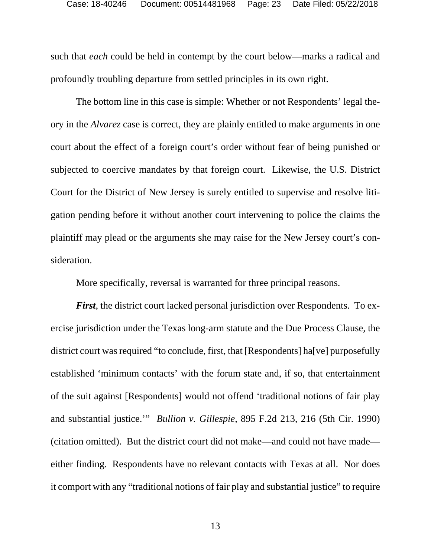such that *each* could be held in contempt by the court below—marks a radical and profoundly troubling departure from settled principles in its own right.

The bottom line in this case is simple: Whether or not Respondents' legal theory in the *Alvarez* case is correct, they are plainly entitled to make arguments in one court about the effect of a foreign court's order without fear of being punished or subjected to coercive mandates by that foreign court. Likewise, the U.S. District Court for the District of New Jersey is surely entitled to supervise and resolve litigation pending before it without another court intervening to police the claims the plaintiff may plead or the arguments she may raise for the New Jersey court's consideration.

More specifically, reversal is warranted for three principal reasons.

*First*, the district court lacked personal jurisdiction over Respondents. To exercise jurisdiction under the Texas long-arm statute and the Due Process Clause, the district court was required "to conclude, first, that [Respondents] ha[ve] purposefully established 'minimum contacts' with the forum state and, if so, that entertainment of the suit against [Respondents] would not offend 'traditional notions of fair play and substantial justice.'" *Bullion v. Gillespie*, 895 F.2d 213, 216 (5th Cir. 1990) (citation omitted). But the district court did not make—and could not have made either finding. Respondents have no relevant contacts with Texas at all. Nor does it comport with any "traditional notions of fair play and substantial justice" to require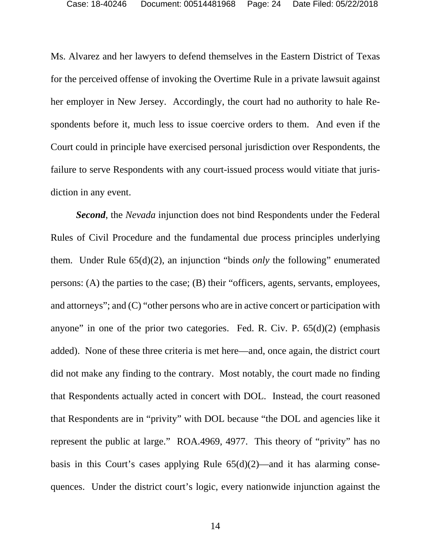Ms. Alvarez and her lawyers to defend themselves in the Eastern District of Texas for the perceived offense of invoking the Overtime Rule in a private lawsuit against her employer in New Jersey. Accordingly, the court had no authority to hale Respondents before it, much less to issue coercive orders to them. And even if the Court could in principle have exercised personal jurisdiction over Respondents, the failure to serve Respondents with any court-issued process would vitiate that jurisdiction in any event.

*Second*, the *Nevada* injunction does not bind Respondents under the Federal Rules of Civil Procedure and the fundamental due process principles underlying them. Under Rule 65(d)(2), an injunction "binds *only* the following" enumerated persons: (A) the parties to the case; (B) their "officers, agents, servants, employees, and attorneys"; and (C) "other persons who are in active concert or participation with anyone" in one of the prior two categories. Fed. R. Civ. P.  $65(d)(2)$  (emphasis added). None of these three criteria is met here—and, once again, the district court did not make any finding to the contrary. Most notably, the court made no finding that Respondents actually acted in concert with DOL. Instead, the court reasoned that Respondents are in "privity" with DOL because "the DOL and agencies like it represent the public at large." ROA.4969, 4977. This theory of "privity" has no basis in this Court's cases applying Rule  $65(d)(2)$ —and it has alarming consequences. Under the district court's logic, every nationwide injunction against the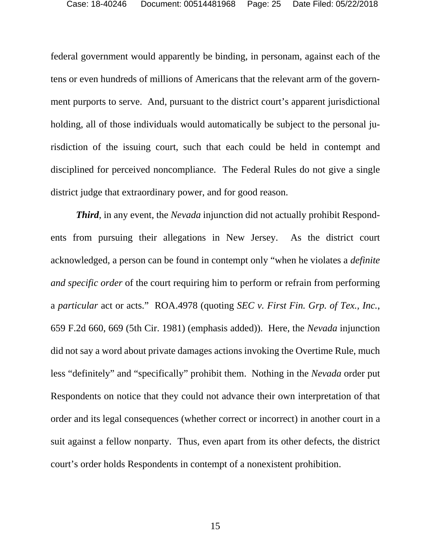federal government would apparently be binding, in personam, against each of the tens or even hundreds of millions of Americans that the relevant arm of the government purports to serve. And, pursuant to the district court's apparent jurisdictional holding, all of those individuals would automatically be subject to the personal jurisdiction of the issuing court, such that each could be held in contempt and disciplined for perceived noncompliance. The Federal Rules do not give a single district judge that extraordinary power, and for good reason.

*Third*, in any event, the *Nevada* injunction did not actually prohibit Respondents from pursuing their allegations in New Jersey. As the district court acknowledged, a person can be found in contempt only "when he violates a *definite and specific order* of the court requiring him to perform or refrain from performing a *particular* act or acts." ROA.4978 (quoting *SEC v. First Fin. Grp. of Tex., Inc.*, 659 F.2d 660, 669 (5th Cir. 1981) (emphasis added)). Here, the *Nevada* injunction did not say a word about private damages actions invoking the Overtime Rule, much less "definitely" and "specifically" prohibit them. Nothing in the *Nevada* order put Respondents on notice that they could not advance their own interpretation of that order and its legal consequences (whether correct or incorrect) in another court in a suit against a fellow nonparty. Thus, even apart from its other defects, the district court's order holds Respondents in contempt of a nonexistent prohibition.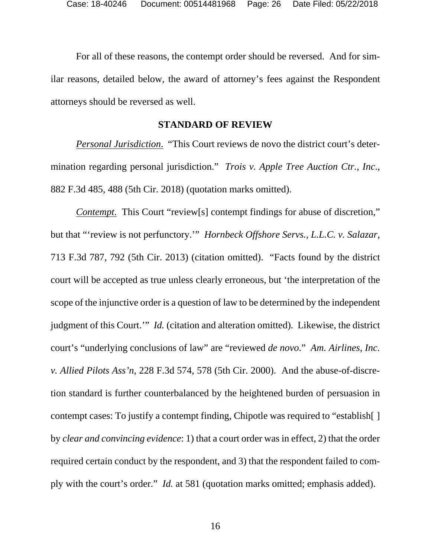For all of these reasons, the contempt order should be reversed. And for similar reasons, detailed below, the award of attorney's fees against the Respondent attorneys should be reversed as well.

#### **STANDARD OF REVIEW**

*Personal Jurisdiction*. "This Court reviews de novo the district court's determination regarding personal jurisdiction." *Trois v. Apple Tree Auction Ctr., Inc*., 882 F.3d 485, 488 (5th Cir. 2018) (quotation marks omitted).

*Contempt.* This Court "review[s] contempt findings for abuse of discretion," but that "'review is not perfunctory.'" *Hornbeck Offshore Servs., L.L.C. v. Salazar*, 713 F.3d 787, 792 (5th Cir. 2013) (citation omitted). "Facts found by the district court will be accepted as true unless clearly erroneous, but 'the interpretation of the scope of the injunctive order is a question of law to be determined by the independent judgment of this Court.'" *Id.* (citation and alteration omitted). Likewise, the district court's "underlying conclusions of law" are "reviewed *de novo*." *Am. Airlines, Inc. v. Allied Pilots Ass'n*, 228 F.3d 574, 578 (5th Cir. 2000). And the abuse-of-discretion standard is further counterbalanced by the heightened burden of persuasion in contempt cases: To justify a contempt finding, Chipotle was required to "establish[ ] by *clear and convincing evidence*: 1) that a court order was in effect, 2) that the order required certain conduct by the respondent, and 3) that the respondent failed to comply with the court's order." *Id.* at 581 (quotation marks omitted; emphasis added).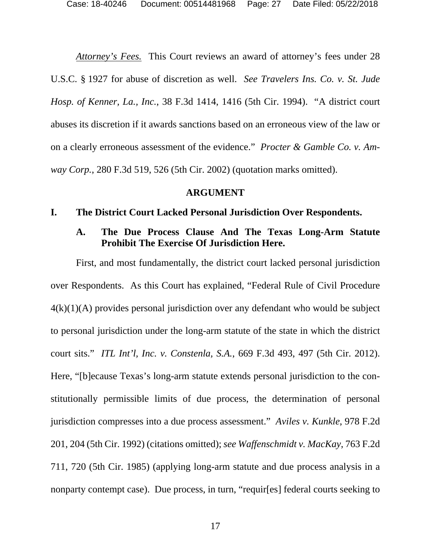*Attorney's Fees.* This Court reviews an award of attorney's fees under 28 U.S.C. § 1927 for abuse of discretion as well. *See Travelers Ins. Co. v. St. Jude Hosp. of Kenner, La., Inc.*, 38 F.3d 1414, 1416 (5th Cir. 1994). "A district court abuses its discretion if it awards sanctions based on an erroneous view of the law or on a clearly erroneous assessment of the evidence." *Procter & Gamble Co. v. Amway Corp.*, 280 F.3d 519, 526 (5th Cir. 2002) (quotation marks omitted).

#### **ARGUMENT**

#### **I. The District Court Lacked Personal Jurisdiction Over Respondents.**

### **A. The Due Process Clause And The Texas Long-Arm Statute Prohibit The Exercise Of Jurisdiction Here.**

First, and most fundamentally, the district court lacked personal jurisdiction over Respondents. As this Court has explained, "Federal Rule of Civil Procedure  $4(k)(1)(A)$  provides personal jurisdiction over any defendant who would be subject to personal jurisdiction under the long-arm statute of the state in which the district court sits." *ITL Int'l, Inc. v. Constenla, S.A.*, 669 F.3d 493, 497 (5th Cir. 2012). Here, "[b]ecause Texas's long-arm statute extends personal jurisdiction to the constitutionally permissible limits of due process, the determination of personal jurisdiction compresses into a due process assessment." *Aviles v. Kunkle*, 978 F.2d 201, 204 (5th Cir. 1992) (citations omitted); *see Waffenschmidt v. MacKay*, 763 F.2d 711, 720 (5th Cir. 1985) (applying long-arm statute and due process analysis in a nonparty contempt case). Due process, in turn, "requir[es] federal courts seeking to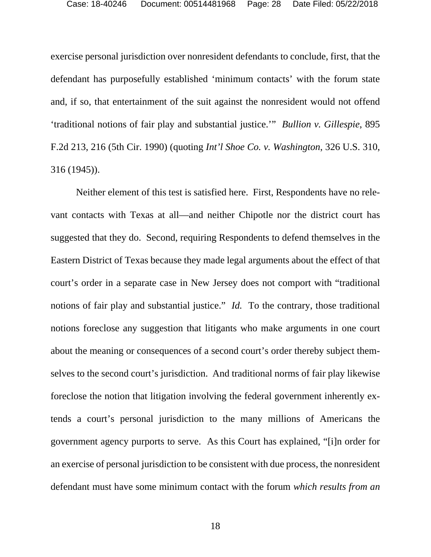exercise personal jurisdiction over nonresident defendants to conclude, first, that the defendant has purposefully established 'minimum contacts' with the forum state and, if so, that entertainment of the suit against the nonresident would not offend 'traditional notions of fair play and substantial justice.'" *Bullion v. Gillespie*, 895 F.2d 213, 216 (5th Cir. 1990) (quoting *Int'l Shoe Co. v. Washington*, 326 U.S. 310, 316 (1945)).

Neither element of this test is satisfied here. First, Respondents have no relevant contacts with Texas at all—and neither Chipotle nor the district court has suggested that they do. Second, requiring Respondents to defend themselves in the Eastern District of Texas because they made legal arguments about the effect of that court's order in a separate case in New Jersey does not comport with "traditional notions of fair play and substantial justice." *Id.* To the contrary, those traditional notions foreclose any suggestion that litigants who make arguments in one court about the meaning or consequences of a second court's order thereby subject themselves to the second court's jurisdiction. And traditional norms of fair play likewise foreclose the notion that litigation involving the federal government inherently extends a court's personal jurisdiction to the many millions of Americans the government agency purports to serve. As this Court has explained, "[i]n order for an exercise of personal jurisdiction to be consistent with due process, the nonresident defendant must have some minimum contact with the forum *which results from an*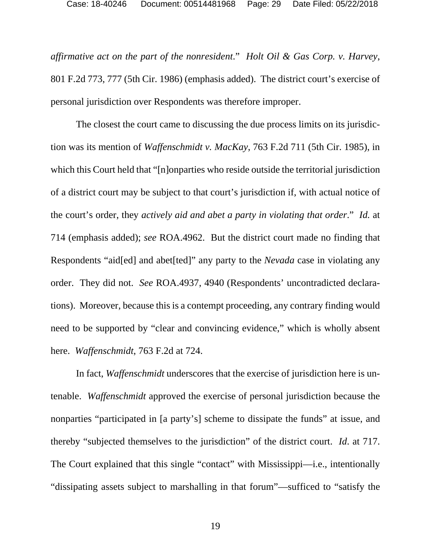*affirmative act on the part of the nonresident*." *Holt Oil & Gas Corp. v. Harvey*, 801 F.2d 773, 777 (5th Cir. 1986) (emphasis added). The district court's exercise of personal jurisdiction over Respondents was therefore improper.

The closest the court came to discussing the due process limits on its jurisdiction was its mention of *Waffenschmidt v. MacKay*, 763 F.2d 711 (5th Cir. 1985), in which this Court held that "[n]onparties who reside outside the territorial jurisdiction of a district court may be subject to that court's jurisdiction if, with actual notice of the court's order, they *actively aid and abet a party in violating that order*." *Id.* at 714 (emphasis added); *see* ROA.4962. But the district court made no finding that Respondents "aid[ed] and abet[ted]" any party to the *Nevada* case in violating any order. They did not. *See* ROA.4937, 4940 (Respondents' uncontradicted declarations). Moreover, because this is a contempt proceeding, any contrary finding would need to be supported by "clear and convincing evidence," which is wholly absent here. *Waffenschmidt*, 763 F.2d at 724.

In fact, *Waffenschmidt* underscores that the exercise of jurisdiction here is untenable. *Waffenschmidt* approved the exercise of personal jurisdiction because the nonparties "participated in [a party's] scheme to dissipate the funds" at issue, and thereby "subjected themselves to the jurisdiction" of the district court. *Id*. at 717. The Court explained that this single "contact" with Mississippi—i.e., intentionally "dissipating assets subject to marshalling in that forum"—sufficed to "satisfy the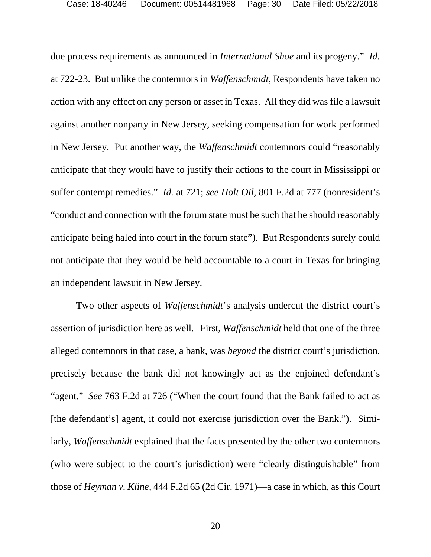due process requirements as announced in *International Shoe* and its progeny." *Id.* at 722-23. But unlike the contemnors in *Waffenschmidt*, Respondents have taken no action with any effect on any person or asset in Texas. All they did was file a lawsuit against another nonparty in New Jersey, seeking compensation for work performed in New Jersey. Put another way, the *Waffenschmidt* contemnors could "reasonably anticipate that they would have to justify their actions to the court in Mississippi or suffer contempt remedies." *Id.* at 721; *see Holt Oil*, 801 F.2d at 777 (nonresident's "conduct and connection with the forum state must be such that he should reasonably anticipate being haled into court in the forum state"). But Respondents surely could not anticipate that they would be held accountable to a court in Texas for bringing an independent lawsuit in New Jersey.

Two other aspects of *Waffenschmidt*'s analysis undercut the district court's assertion of jurisdiction here as well. First, *Waffenschmidt* held that one of the three alleged contemnors in that case, a bank, was *beyond* the district court's jurisdiction, precisely because the bank did not knowingly act as the enjoined defendant's "agent." *See* 763 F.2d at 726 ("When the court found that the Bank failed to act as [the defendant's] agent, it could not exercise jurisdiction over the Bank."). Similarly, *Waffenschmidt* explained that the facts presented by the other two contemnors (who were subject to the court's jurisdiction) were "clearly distinguishable" from those of *Heyman v. Kline,* 444 F.2d 65 (2d Cir. 1971)—a case in which, as this Court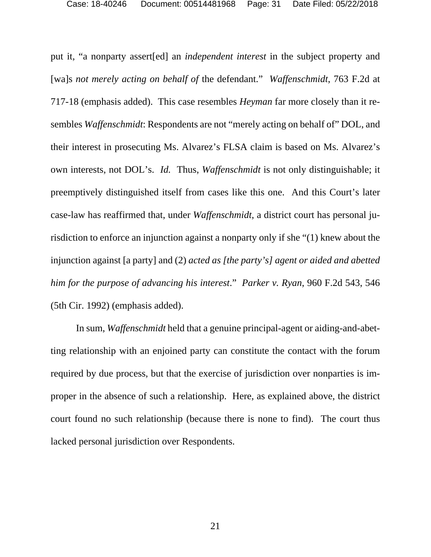put it, "a nonparty assert[ed] an *independent interest* in the subject property and [wa]s *not merely acting on behalf of* the defendant." *Waffenschmidt*, 763 F.2d at 717-18 (emphasis added). This case resembles *Heyman* far more closely than it resembles *Waffenschmidt*: Respondents are not "merely acting on behalf of" DOL, and their interest in prosecuting Ms. Alvarez's FLSA claim is based on Ms. Alvarez's own interests, not DOL's. *Id.* Thus, *Waffenschmidt* is not only distinguishable; it preemptively distinguished itself from cases like this one. And this Court's later case-law has reaffirmed that, under *Waffenschmidt*, a district court has personal jurisdiction to enforce an injunction against a nonparty only if she "(1) knew about the injunction against [a party] and (2) *acted as [the party's] agent or aided and abetted him for the purpose of advancing his interest*." *Parker v. Ryan*, 960 F.2d 543, 546 (5th Cir. 1992) (emphasis added).

In sum, *Waffenschmidt* held that a genuine principal-agent or aiding-and-abetting relationship with an enjoined party can constitute the contact with the forum required by due process, but that the exercise of jurisdiction over nonparties is improper in the absence of such a relationship. Here, as explained above, the district court found no such relationship (because there is none to find). The court thus lacked personal jurisdiction over Respondents.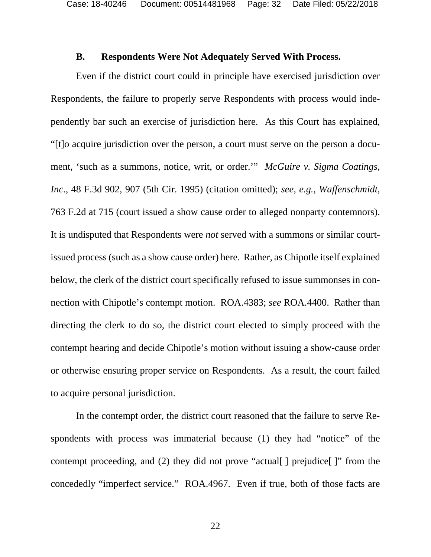#### **B. Respondents Were Not Adequately Served With Process.**

Even if the district court could in principle have exercised jurisdiction over Respondents, the failure to properly serve Respondents with process would independently bar such an exercise of jurisdiction here. As this Court has explained, "[t]o acquire jurisdiction over the person, a court must serve on the person a document, 'such as a summons, notice, writ, or order.'" *McGuire v. Sigma Coatings, Inc*., 48 F.3d 902, 907 (5th Cir. 1995) (citation omitted); *see, e.g.*, *Waffenschmidt*, 763 F.2d at 715 (court issued a show cause order to alleged nonparty contemnors). It is undisputed that Respondents were *not* served with a summons or similar courtissued process (such as a show cause order) here. Rather, as Chipotle itself explained below, the clerk of the district court specifically refused to issue summonses in connection with Chipotle's contempt motion. ROA.4383; *see* ROA.4400. Rather than directing the clerk to do so, the district court elected to simply proceed with the contempt hearing and decide Chipotle's motion without issuing a show-cause order or otherwise ensuring proper service on Respondents. As a result, the court failed to acquire personal jurisdiction.

In the contempt order, the district court reasoned that the failure to serve Respondents with process was immaterial because (1) they had "notice" of the contempt proceeding, and (2) they did not prove "actual [] prejudice []" from the concededly "imperfect service." ROA.4967. Even if true, both of those facts are

22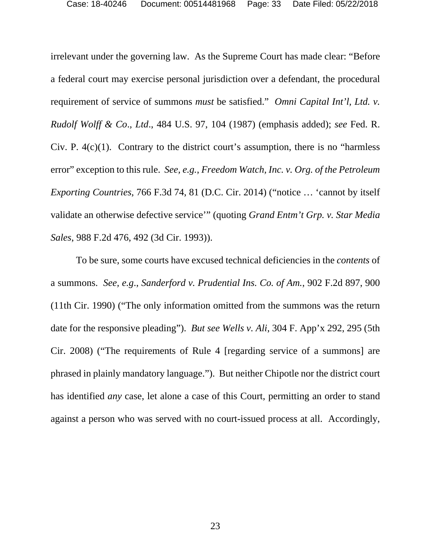irrelevant under the governing law. As the Supreme Court has made clear: "Before a federal court may exercise personal jurisdiction over a defendant, the procedural requirement of service of summons *must* be satisfied." *Omni Capital Int'l, Ltd. v. Rudolf Wolff & Co*.*, Ltd*., 484 U.S. 97, 104 (1987) (emphasis added); *see* Fed. R. Civ. P.  $4(c)(1)$ . Contrary to the district court's assumption, there is no "harmless" error" exception to this rule. *See, e.g.*, *Freedom Watch, Inc. v. Org. of the Petroleum Exporting Countries*, 766 F.3d 74, 81 (D.C. Cir. 2014) ("notice … 'cannot by itself validate an otherwise defective service'" (quoting *Grand Entm't Grp. v. Star Media Sales*, 988 F.2d 476, 492 (3d Cir. 1993)).

To be sure, some courts have excused technical deficiencies in the *contents* of a summons. *See, e.g*., *Sanderford v. Prudential Ins. Co. of Am.*, 902 F.2d 897, 900 (11th Cir. 1990) ("The only information omitted from the summons was the return date for the responsive pleading"). *But see Wells v. Ali*, 304 F. App'x 292, 295 (5th Cir. 2008) ("The requirements of Rule 4 [regarding service of a summons] are phrased in plainly mandatory language."). But neither Chipotle nor the district court has identified *any* case, let alone a case of this Court, permitting an order to stand against a person who was served with no court-issued process at all. Accordingly,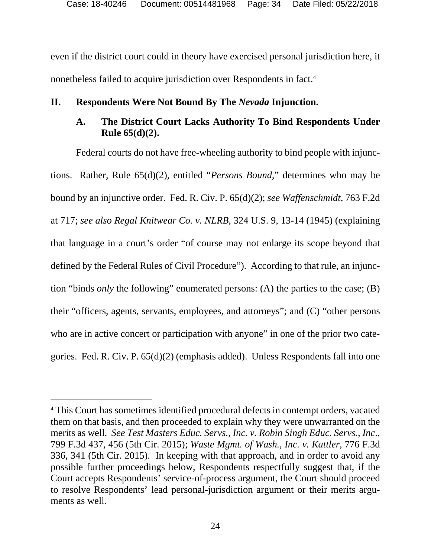even if the district court could in theory have exercised personal jurisdiction here, it nonetheless failed to acquire jurisdiction over Respondents in fact.4

## **II. Respondents Were Not Bound By The** *Nevada* **Injunction.**

## **A. The District Court Lacks Authority To Bind Respondents Under Rule 65(d)(2).**

Federal courts do not have free-wheeling authority to bind people with injunctions. Rather, Rule 65(d)(2), entitled "*Persons Bound*," determines who may be bound by an injunctive order. Fed. R. Civ. P. 65(d)(2); *see Waffenschmidt*, 763 F.2d at 717; *see also Regal Knitwear Co. v. NLRB*, 324 U.S. 9, 13-14 (1945) (explaining that language in a court's order "of course may not enlarge its scope beyond that defined by the Federal Rules of Civil Procedure"). According to that rule, an injunction "binds *only* the following" enumerated persons: (A) the parties to the case; (B) their "officers, agents, servants, employees, and attorneys"; and (C) "other persons who are in active concert or participation with anyone" in one of the prior two categories. Fed. R. Civ. P. 65(d)(2) (emphasis added). Unless Respondents fall into one

-

<sup>4</sup> This Court has sometimes identified procedural defects in contempt orders, vacated them on that basis, and then proceeded to explain why they were unwarranted on the merits as well. *See Test Masters Educ. Servs., Inc. v. Robin Singh Educ. Servs., Inc*., 799 F.3d 437, 456 (5th Cir. 2015); *Waste Mgmt. of Wash., Inc. v. Kattler*, 776 F.3d 336, 341 (5th Cir. 2015). In keeping with that approach, and in order to avoid any possible further proceedings below, Respondents respectfully suggest that, if the Court accepts Respondents' service-of-process argument, the Court should proceed to resolve Respondents' lead personal-jurisdiction argument or their merits arguments as well.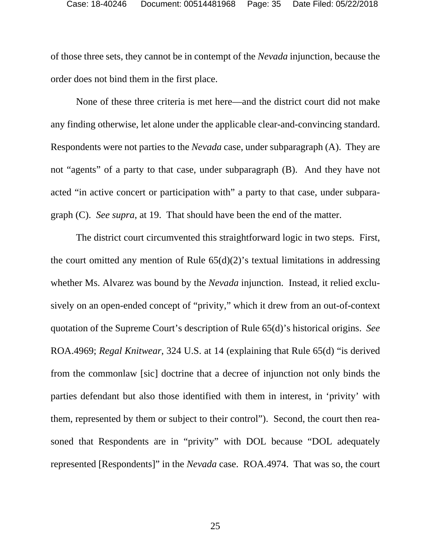of those three sets, they cannot be in contempt of the *Nevada* injunction, because the order does not bind them in the first place.

None of these three criteria is met here—and the district court did not make any finding otherwise, let alone under the applicable clear-and-convincing standard. Respondents were not parties to the *Nevada* case, under subparagraph (A). They are not "agents" of a party to that case, under subparagraph (B). And they have not acted "in active concert or participation with" a party to that case, under subparagraph (C). *See supra*, at 19. That should have been the end of the matter.

The district court circumvented this straightforward logic in two steps. First, the court omitted any mention of Rule  $65(d)(2)$ 's textual limitations in addressing whether Ms. Alvarez was bound by the *Nevada* injunction. Instead, it relied exclusively on an open-ended concept of "privity," which it drew from an out-of-context quotation of the Supreme Court's description of Rule 65(d)'s historical origins. *See*  ROA.4969; *Regal Knitwear*, 324 U.S. at 14 (explaining that Rule 65(d) "is derived from the commonlaw [sic] doctrine that a decree of injunction not only binds the parties defendant but also those identified with them in interest, in 'privity' with them, represented by them or subject to their control"). Second, the court then reasoned that Respondents are in "privity" with DOL because "DOL adequately represented [Respondents]" in the *Nevada* case. ROA.4974. That was so, the court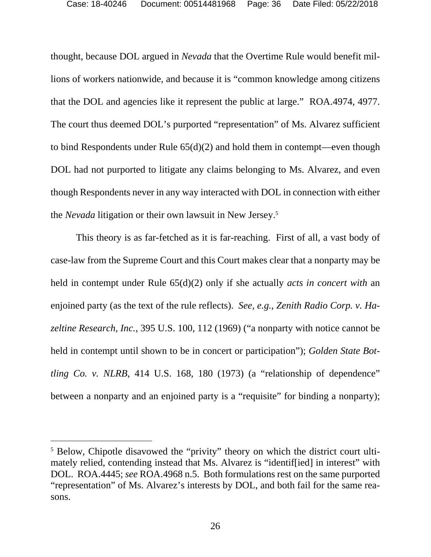thought, because DOL argued in *Nevada* that the Overtime Rule would benefit millions of workers nationwide, and because it is "common knowledge among citizens that the DOL and agencies like it represent the public at large." ROA.4974, 4977. The court thus deemed DOL's purported "representation" of Ms. Alvarez sufficient to bind Respondents under Rule 65(d)(2) and hold them in contempt—even though DOL had not purported to litigate any claims belonging to Ms. Alvarez, and even though Respondents never in any way interacted with DOL in connection with either the *Nevada* litigation or their own lawsuit in New Jersey.5

This theory is as far-fetched as it is far-reaching. First of all, a vast body of case-law from the Supreme Court and this Court makes clear that a nonparty may be held in contempt under Rule 65(d)(2) only if she actually *acts in concert with* an enjoined party (as the text of the rule reflects). *See, e.g.*, *Zenith Radio Corp. v. Hazeltine Research, Inc.*, 395 U.S. 100, 112 (1969) ("a nonparty with notice cannot be held in contempt until shown to be in concert or participation"); *Golden State Bottling Co. v. NLRB*, 414 U.S. 168, 180 (1973) (a "relationship of dependence" between a nonparty and an enjoined party is a "requisite" for binding a nonparty);

l

<sup>&</sup>lt;sup>5</sup> Below, Chipotle disavowed the "privity" theory on which the district court ultimately relied, contending instead that Ms. Alvarez is "identif[ied] in interest" with DOL. ROA.4445; *see* ROA.4968 n.5. Both formulations rest on the same purported "representation" of Ms. Alvarez's interests by DOL, and both fail for the same reasons.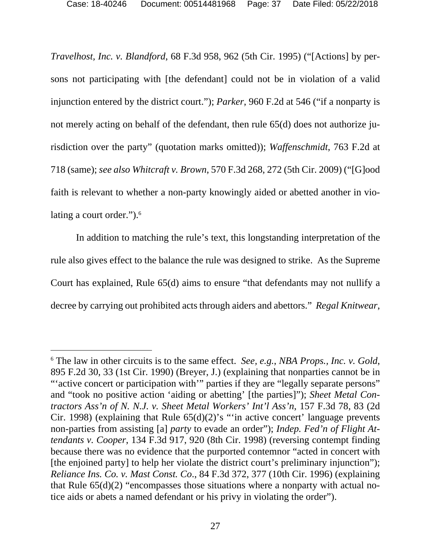*Travelhost, Inc. v. Blandford*, 68 F.3d 958, 962 (5th Cir. 1995) ("[Actions] by persons not participating with [the defendant] could not be in violation of a valid injunction entered by the district court."); *Parker*, 960 F.2d at 546 ("if a nonparty is not merely acting on behalf of the defendant, then rule 65(d) does not authorize jurisdiction over the party" (quotation marks omitted)); *Waffenschmidt*, 763 F.2d at 718 (same); *see also Whitcraft v. Brown*, 570 F.3d 268, 272 (5th Cir. 2009) ("[G]ood faith is relevant to whether a non-party knowingly aided or abetted another in violating a court order.").<sup>6</sup>

In addition to matching the rule's text, this longstanding interpretation of the rule also gives effect to the balance the rule was designed to strike. As the Supreme Court has explained, Rule 65(d) aims to ensure "that defendants may not nullify a decree by carrying out prohibited acts through aiders and abettors." *Regal Knitwear*,

-

<sup>6</sup> The law in other circuits is to the same effect. *See, e.g.*, *NBA Props., Inc. v. Gold*, 895 F.2d 30, 33 (1st Cir. 1990) (Breyer, J.) (explaining that nonparties cannot be in "'active concert or participation with'" parties if they are "legally separate persons" and "took no positive action 'aiding or abetting' [the parties]"); *Sheet Metal Contractors Ass'n of N. N.J. v. Sheet Metal Workers' Int'l Ass'n*, 157 F.3d 78, 83 (2d Cir. 1998) (explaining that Rule  $65(d)(2)$ 's "'in active concert' language prevents non-parties from assisting [a] *party* to evade an order"); *Indep. Fed'n of Flight Attendants v. Cooper*, 134 F.3d 917, 920 (8th Cir. 1998) (reversing contempt finding because there was no evidence that the purported contemnor "acted in concert with [the enjoined party] to help her violate the district court's preliminary injunction"); *Reliance Ins. Co. v. Mast Const. Co*., 84 F.3d 372, 377 (10th Cir. 1996) (explaining that Rule 65(d)(2) "encompasses those situations where a nonparty with actual notice aids or abets a named defendant or his privy in violating the order").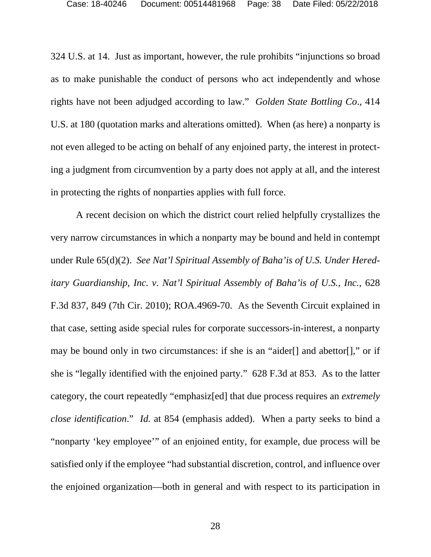324 U.S. at 14. Just as important, however, the rule prohibits "injunctions so broad as to make punishable the conduct of persons who act independently and whose rights have not been adjudged according to law." *Golden State Bottling Co*., 414 U.S. at 180 (quotation marks and alterations omitted). When (as here) a nonparty is not even alleged to be acting on behalf of any enjoined party, the interest in protecting a judgment from circumvention by a party does not apply at all, and the interest in protecting the rights of nonparties applies with full force.

A recent decision on which the district court relied helpfully crystallizes the very narrow circumstances in which a nonparty may be bound and held in contempt under Rule 65(d)(2). *See Nat'l Spiritual Assembly of Baha'is of U.S. Under Hereditary Guardianship, Inc. v. Nat'l Spiritual Assembly of Baha'is of U.S., Inc.*, 628 F.3d 837, 849 (7th Cir. 2010); ROA.4969-70. As the Seventh Circuit explained in that case, setting aside special rules for corporate successors-in-interest, a nonparty may be bound only in two circumstances: if she is an "aider[] and abettor[]," or if she is "legally identified with the enjoined party." 628 F.3d at 853. As to the latter category, the court repeatedly "emphasiz[ed] that due process requires an *extremely close identification*." *Id.* at 854 (emphasis added). When a party seeks to bind a "nonparty 'key employee'" of an enjoined entity, for example, due process will be satisfied only if the employee "had substantial discretion, control, and influence over the enjoined organization—both in general and with respect to its participation in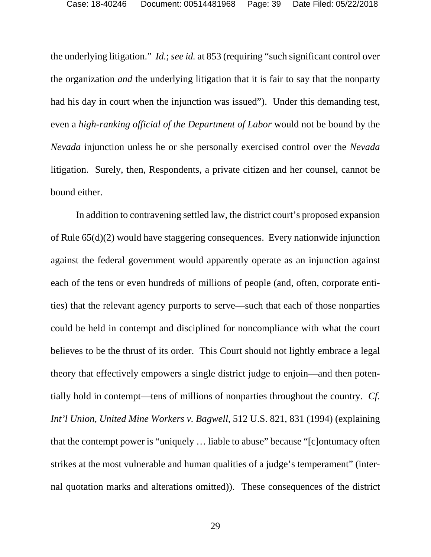the underlying litigation." *Id.*; *see id.* at 853 (requiring "such significant control over the organization *and* the underlying litigation that it is fair to say that the nonparty had his day in court when the injunction was issued"). Under this demanding test, even a *high-ranking official of the Department of Labor* would not be bound by the *Nevada* injunction unless he or she personally exercised control over the *Nevada*  litigation. Surely, then, Respondents, a private citizen and her counsel, cannot be bound either.

In addition to contravening settled law, the district court's proposed expansion of Rule 65(d)(2) would have staggering consequences. Every nationwide injunction against the federal government would apparently operate as an injunction against each of the tens or even hundreds of millions of people (and, often, corporate entities) that the relevant agency purports to serve—such that each of those nonparties could be held in contempt and disciplined for noncompliance with what the court believes to be the thrust of its order. This Court should not lightly embrace a legal theory that effectively empowers a single district judge to enjoin—and then potentially hold in contempt—tens of millions of nonparties throughout the country. *Cf. Int'l Union, United Mine Workers v. Bagwell*, 512 U.S. 821, 831 (1994) (explaining that the contempt power is "uniquely … liable to abuse" because "[c]ontumacy often strikes at the most vulnerable and human qualities of a judge's temperament" (internal quotation marks and alterations omitted)). These consequences of the district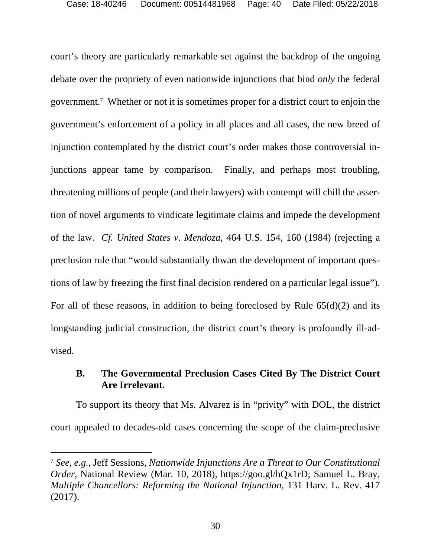court's theory are particularly remarkable set against the backdrop of the ongoing debate over the propriety of even nationwide injunctions that bind *only* the federal government.7 Whether or not it is sometimes proper for a district court to enjoin the government's enforcement of a policy in all places and all cases, the new breed of injunction contemplated by the district court's order makes those controversial injunctions appear tame by comparison. Finally, and perhaps most troubling, threatening millions of people (and their lawyers) with contempt will chill the assertion of novel arguments to vindicate legitimate claims and impede the development of the law. *Cf. United States v. Mendoza*, 464 U.S. 154, 160 (1984) (rejecting a preclusion rule that "would substantially thwart the development of important questions of law by freezing the first final decision rendered on a particular legal issue"). For all of these reasons, in addition to being foreclosed by Rule 65(d)(2) and its longstanding judicial construction, the district court's theory is profoundly ill-advised.

## **B. The Governmental Preclusion Cases Cited By The District Court Are Irrelevant.**

To support its theory that Ms. Alvarez is in "privity" with DOL, the district court appealed to decades-old cases concerning the scope of the claim-preclusive

 $\overline{a}$ 

<sup>7</sup> *See, e.g.*, Jeff Sessions, *Nationwide Injunctions Are a Threat to Our Constitutional Order*, National Review (Mar. 10, 2018), https://goo.gl/hQx1rD; Samuel L. Bray, *Multiple Chancellors: Reforming the National Injunction*, 131 Harv. L. Rev. 417 (2017).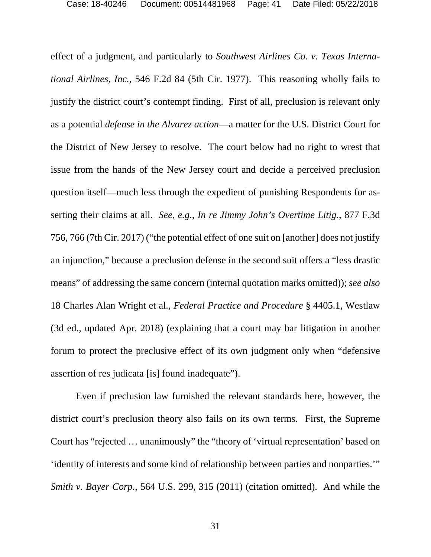effect of a judgment, and particularly to *Southwest Airlines Co. v. Texas International Airlines, Inc.*, 546 F.2d 84 (5th Cir. 1977). This reasoning wholly fails to justify the district court's contempt finding. First of all, preclusion is relevant only as a potential *defense in the Alvarez action*—a matter for the U.S. District Court for the District of New Jersey to resolve. The court below had no right to wrest that issue from the hands of the New Jersey court and decide a perceived preclusion question itself—much less through the expedient of punishing Respondents for asserting their claims at all. *See, e.g.*, *In re Jimmy John's Overtime Litig.*, 877 F.3d 756, 766 (7th Cir. 2017) ("the potential effect of one suit on [another] does not justify an injunction," because a preclusion defense in the second suit offers a "less drastic means" of addressing the same concern (internal quotation marks omitted)); *see also*  18 Charles Alan Wright et al., *Federal Practice and Procedure* § 4405.1, Westlaw (3d ed., updated Apr. 2018) (explaining that a court may bar litigation in another forum to protect the preclusive effect of its own judgment only when "defensive assertion of res judicata [is] found inadequate").

Even if preclusion law furnished the relevant standards here, however, the district court's preclusion theory also fails on its own terms. First, the Supreme Court has "rejected … unanimously" the "theory of 'virtual representation' based on 'identity of interests and some kind of relationship between parties and nonparties.'" *Smith v. Bayer Corp.*, 564 U.S. 299, 315 (2011) (citation omitted). And while the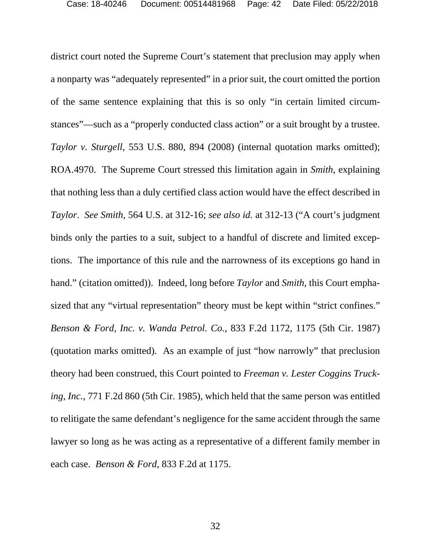district court noted the Supreme Court's statement that preclusion may apply when a nonparty was "adequately represented" in a prior suit, the court omitted the portion of the same sentence explaining that this is so only "in certain limited circumstances"—such as a "properly conducted class action" or a suit brought by a trustee. *Taylor v. Sturgell*, 553 U.S. 880, 894 (2008) (internal quotation marks omitted); ROA.4970. The Supreme Court stressed this limitation again in *Smith*, explaining that nothing less than a duly certified class action would have the effect described in *Taylor*. *See Smith*, 564 U.S. at 312-16; *see also id.* at 312-13 ("A court's judgment binds only the parties to a suit, subject to a handful of discrete and limited exceptions. The importance of this rule and the narrowness of its exceptions go hand in hand." (citation omitted)). Indeed, long before *Taylor* and *Smith*, this Court emphasized that any "virtual representation" theory must be kept within "strict confines." *Benson & Ford, Inc. v. Wanda Petrol. Co.*, 833 F.2d 1172, 1175 (5th Cir. 1987) (quotation marks omitted). As an example of just "how narrowly" that preclusion theory had been construed, this Court pointed to *Freeman v. Lester Coggins Trucking, Inc.*, 771 F.2d 860 (5th Cir. 1985), which held that the same person was entitled to relitigate the same defendant's negligence for the same accident through the same lawyer so long as he was acting as a representative of a different family member in each case. *Benson & Ford*, 833 F.2d at 1175.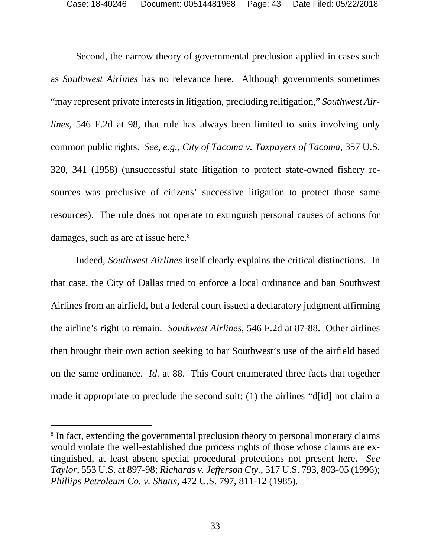Second, the narrow theory of governmental preclusion applied in cases such as *Southwest Airlines* has no relevance here. Although governments sometimes "may represent private interests in litigation, precluding relitigation," *Southwest Airlines*, 546 F.2d at 98, that rule has always been limited to suits involving only common public rights. *See, e.g.*, *City of Tacoma v. Taxpayers of Tacoma*, 357 U.S. 320, 341 (1958) (unsuccessful state litigation to protect state-owned fishery resources was preclusive of citizens' successive litigation to protect those same resources). The rule does not operate to extinguish personal causes of actions for damages, such as are at issue here.<sup>8</sup>

Indeed, *Southwest Airlines* itself clearly explains the critical distinctions. In that case, the City of Dallas tried to enforce a local ordinance and ban Southwest Airlines from an airfield, but a federal court issued a declaratory judgment affirming the airline's right to remain. *Southwest Airlines*, 546 F.2d at 87-88. Other airlines then brought their own action seeking to bar Southwest's use of the airfield based on the same ordinance. *Id.* at 88. This Court enumerated three facts that together made it appropriate to preclude the second suit: (1) the airlines "d[id] not claim a

 $\overline{a}$ 

<sup>&</sup>lt;sup>8</sup> In fact, extending the governmental preclusion theory to personal monetary claims would violate the well-established due process rights of those whose claims are extinguished, at least absent special procedural protections not present here. *See Taylor*, 553 U.S. at 897-98; *Richards v. Jefferson Cty.*, 517 U.S. 793, 803-05 (1996); *Phillips Petroleum Co. v. Shutts*, 472 U.S. 797, 811-12 (1985).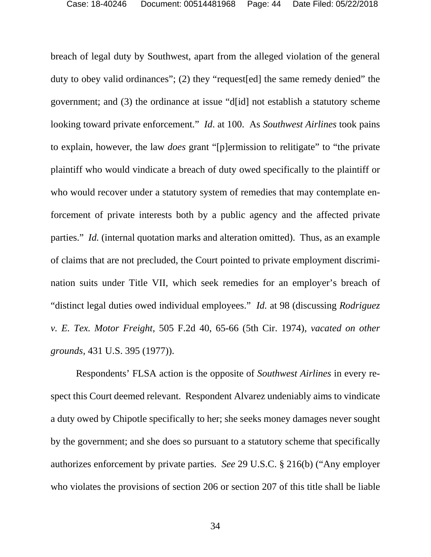breach of legal duty by Southwest, apart from the alleged violation of the general duty to obey valid ordinances"; (2) they "request[ed] the same remedy denied" the government; and (3) the ordinance at issue "d[id] not establish a statutory scheme looking toward private enforcement." *Id*. at 100. As *Southwest Airlines* took pains to explain, however, the law *does* grant "[p]ermission to relitigate" to "the private plaintiff who would vindicate a breach of duty owed specifically to the plaintiff or who would recover under a statutory system of remedies that may contemplate enforcement of private interests both by a public agency and the affected private parties." *Id.* (internal quotation marks and alteration omitted). Thus, as an example of claims that are not precluded, the Court pointed to private employment discrimination suits under Title VII, which seek remedies for an employer's breach of "distinct legal duties owed individual employees." *Id.* at 98 (discussing *Rodriguez v. E. Tex. Motor Freight*, 505 F.2d 40, 65-66 (5th Cir. 1974), *vacated on other grounds,* 431 U.S. 395 (1977)).

Respondents' FLSA action is the opposite of *Southwest Airlines* in every respect this Court deemed relevant. Respondent Alvarez undeniably aims to vindicate a duty owed by Chipotle specifically to her; she seeks money damages never sought by the government; and she does so pursuant to a statutory scheme that specifically authorizes enforcement by private parties. *See* 29 U.S.C. § 216(b) ("Any employer who violates the provisions of section 206 or section 207 of this title shall be liable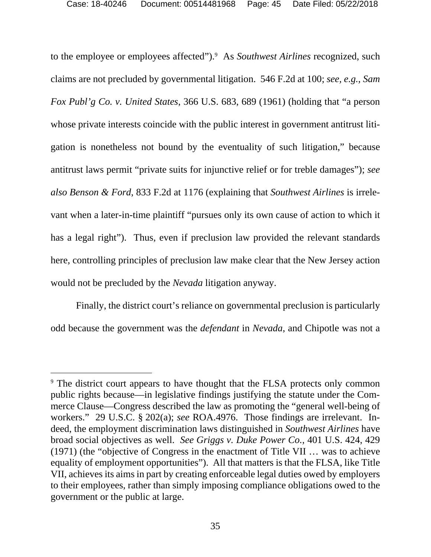to the employee or employees affected").9 As *Southwest Airlines* recognized, such claims are not precluded by governmental litigation. 546 F.2d at 100; *see, e.g.*, *Sam Fox Publ'g Co. v. United States*, 366 U.S. 683, 689 (1961) (holding that "a person whose private interests coincide with the public interest in government antitrust litigation is nonetheless not bound by the eventuality of such litigation," because antitrust laws permit "private suits for injunctive relief or for treble damages"); *see also Benson & Ford*, 833 F.2d at 1176 (explaining that *Southwest Airlines* is irrelevant when a later-in-time plaintiff "pursues only its own cause of action to which it has a legal right"). Thus, even if preclusion law provided the relevant standards here, controlling principles of preclusion law make clear that the New Jersey action would not be precluded by the *Nevada* litigation anyway.

Finally, the district court's reliance on governmental preclusion is particularly odd because the government was the *defendant* in *Nevada*, and Chipotle was not a

 $\overline{a}$ 

<sup>&</sup>lt;sup>9</sup> The district court appears to have thought that the FLSA protects only common public rights because—in legislative findings justifying the statute under the Commerce Clause—Congress described the law as promoting the "general well-being of workers." 29 U.S.C. § 202(a); *see* ROA.4976. Those findings are irrelevant. Indeed, the employment discrimination laws distinguished in *Southwest Airlines* have broad social objectives as well. *See Griggs v. Duke Power Co.*, 401 U.S. 424, 429 (1971) (the "objective of Congress in the enactment of Title VII … was to achieve equality of employment opportunities"). All that matters is that the FLSA, like Title VII, achieves its aims in part by creating enforceable legal duties owed by employers to their employees, rather than simply imposing compliance obligations owed to the government or the public at large.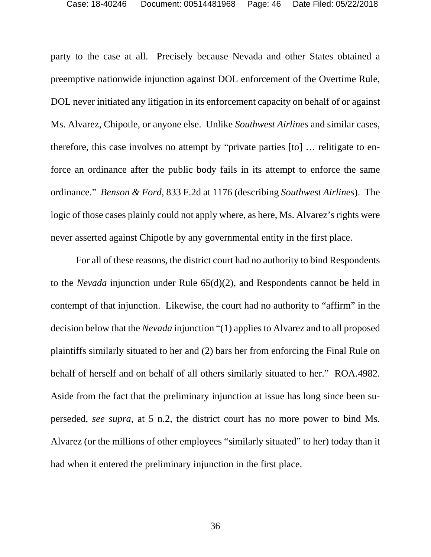party to the case at all. Precisely because Nevada and other States obtained a preemptive nationwide injunction against DOL enforcement of the Overtime Rule, DOL never initiated any litigation in its enforcement capacity on behalf of or against Ms. Alvarez, Chipotle, or anyone else. Unlike *Southwest Airlines* and similar cases, therefore, this case involves no attempt by "private parties [to] … relitigate to enforce an ordinance after the public body fails in its attempt to enforce the same ordinance." *Benson & Ford*, 833 F.2d at 1176 (describing *Southwest Airlines*). The logic of those cases plainly could not apply where, as here, Ms. Alvarez's rights were never asserted against Chipotle by any governmental entity in the first place.

For all of these reasons, the district court had no authority to bind Respondents to the *Nevada* injunction under Rule 65(d)(2), and Respondents cannot be held in contempt of that injunction. Likewise, the court had no authority to "affirm" in the decision below that the *Nevada* injunction "(1) applies to Alvarez and to all proposed plaintiffs similarly situated to her and (2) bars her from enforcing the Final Rule on behalf of herself and on behalf of all others similarly situated to her." ROA.4982. Aside from the fact that the preliminary injunction at issue has long since been superseded, *see supra*, at 5 n.2, the district court has no more power to bind Ms. Alvarez (or the millions of other employees "similarly situated" to her) today than it had when it entered the preliminary injunction in the first place.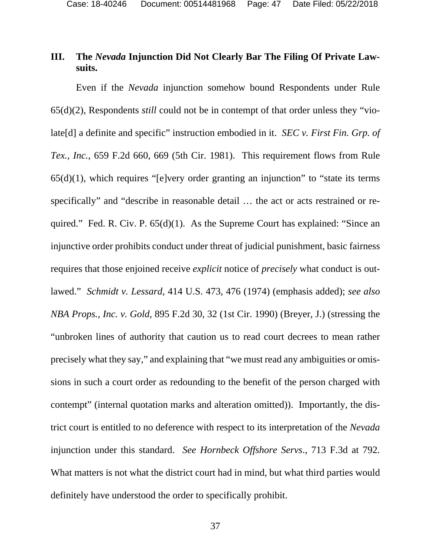## **III. The** *Nevada* **Injunction Did Not Clearly Bar The Filing Of Private Lawsuits.**

Even if the *Nevada* injunction somehow bound Respondents under Rule 65(d)(2), Respondents *still* could not be in contempt of that order unless they "violate[d] a definite and specific" instruction embodied in it. *SEC v. First Fin. Grp. of Tex., Inc.*, 659 F.2d 660, 669 (5th Cir. 1981). This requirement flows from Rule  $65(d)(1)$ , which requires "[e]very order granting an injunction" to "state its terms specifically" and "describe in reasonable detail … the act or acts restrained or required." Fed. R. Civ. P. 65(d)(1). As the Supreme Court has explained: "Since an injunctive order prohibits conduct under threat of judicial punishment, basic fairness requires that those enjoined receive *explicit* notice of *precisely* what conduct is outlawed." *Schmidt v. Lessard*, 414 U.S. 473, 476 (1974) (emphasis added); *see also NBA Props., Inc. v. Gold*, 895 F.2d 30, 32 (1st Cir. 1990) (Breyer, J.) (stressing the "unbroken lines of authority that caution us to read court decrees to mean rather precisely what they say," and explaining that "we must read any ambiguities or omissions in such a court order as redounding to the benefit of the person charged with contempt" (internal quotation marks and alteration omitted)). Importantly, the district court is entitled to no deference with respect to its interpretation of the *Nevada* injunction under this standard. *See Hornbeck Offshore Servs*., 713 F.3d at 792. What matters is not what the district court had in mind, but what third parties would definitely have understood the order to specifically prohibit.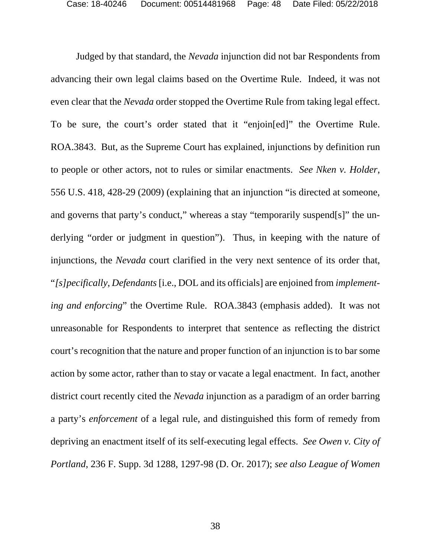Judged by that standard, the *Nevada* injunction did not bar Respondents from advancing their own legal claims based on the Overtime Rule. Indeed, it was not even clear that the *Nevada* order stopped the Overtime Rule from taking legal effect. To be sure, the court's order stated that it "enjoin[ed]" the Overtime Rule. ROA.3843. But, as the Supreme Court has explained, injunctions by definition run to people or other actors, not to rules or similar enactments. *See Nken v. Holder*, 556 U.S. 418, 428-29 (2009) (explaining that an injunction "is directed at someone, and governs that party's conduct," whereas a stay "temporarily suspend[s]" the underlying "order or judgment in question"). Thus, in keeping with the nature of injunctions, the *Nevada* court clarified in the very next sentence of its order that, "*[s]pecifically*, *Defendants* [i.e., DOL and its officials] are enjoined from *implementing and enforcing*" the Overtime Rule. ROA.3843 (emphasis added). It was not unreasonable for Respondents to interpret that sentence as reflecting the district court's recognition that the nature and proper function of an injunction is to bar some action by some actor, rather than to stay or vacate a legal enactment. In fact, another district court recently cited the *Nevada* injunction as a paradigm of an order barring a party's *enforcement* of a legal rule, and distinguished this form of remedy from depriving an enactment itself of its self-executing legal effects. *See Owen v. City of Portland*, 236 F. Supp. 3d 1288, 1297-98 (D. Or. 2017); *see also League of Women*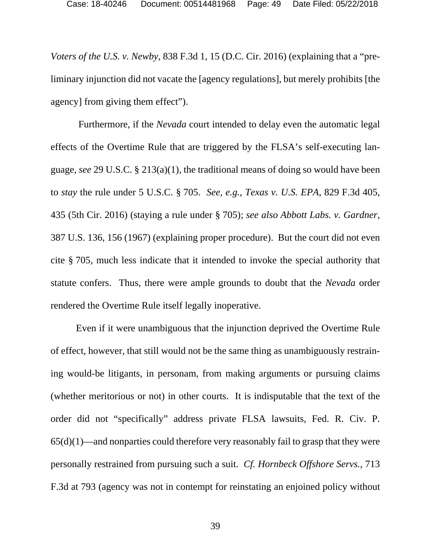*Voters of the U.S. v. Newby*, 838 F.3d 1, 15 (D.C. Cir. 2016) (explaining that a "preliminary injunction did not vacate the [agency regulations], but merely prohibits [the agency] from giving them effect").

 Furthermore, if the *Nevada* court intended to delay even the automatic legal effects of the Overtime Rule that are triggered by the FLSA's self-executing language, *see* 29 U.S.C. § 213(a)(1), the traditional means of doing so would have been to *stay* the rule under 5 U.S.C. § 705. *See, e.g.*, *Texas v. U.S. EPA*, 829 F.3d 405, 435 (5th Cir. 2016) (staying a rule under § 705); *see also Abbott Labs. v. Gardner*, 387 U.S. 136, 156 (1967) (explaining proper procedure). But the court did not even cite § 705, much less indicate that it intended to invoke the special authority that statute confers. Thus, there were ample grounds to doubt that the *Nevada* order rendered the Overtime Rule itself legally inoperative.

Even if it were unambiguous that the injunction deprived the Overtime Rule of effect, however, that still would not be the same thing as unambiguously restraining would-be litigants, in personam, from making arguments or pursuing claims (whether meritorious or not) in other courts. It is indisputable that the text of the order did not "specifically" address private FLSA lawsuits, Fed. R. Civ. P.  $65(d)(1)$ —and nonparties could therefore very reasonably fail to grasp that they were personally restrained from pursuing such a suit. *Cf. Hornbeck Offshore Servs.*, 713 F.3d at 793 (agency was not in contempt for reinstating an enjoined policy without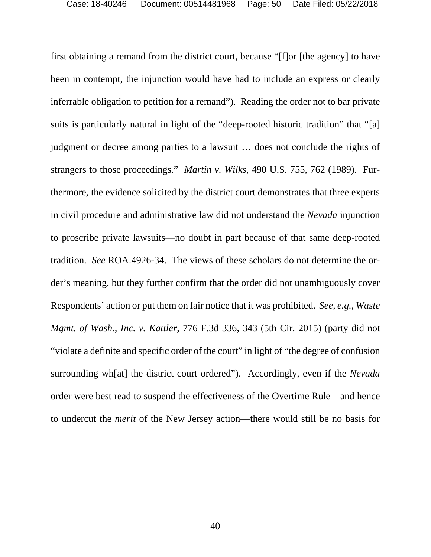first obtaining a remand from the district court, because "[f]or [the agency] to have been in contempt, the injunction would have had to include an express or clearly inferrable obligation to petition for a remand"). Reading the order not to bar private suits is particularly natural in light of the "deep-rooted historic tradition" that "[a] judgment or decree among parties to a lawsuit … does not conclude the rights of strangers to those proceedings." *Martin v. Wilks*, 490 U.S. 755, 762 (1989). Furthermore, the evidence solicited by the district court demonstrates that three experts in civil procedure and administrative law did not understand the *Nevada* injunction to proscribe private lawsuits—no doubt in part because of that same deep-rooted tradition. *See* ROA.4926-34. The views of these scholars do not determine the order's meaning, but they further confirm that the order did not unambiguously cover Respondents' action or put them on fair notice that it was prohibited. *See, e.g.*, *Waste Mgmt. of Wash., Inc. v. Kattler*, 776 F.3d 336, 343 (5th Cir. 2015) (party did not "violate a definite and specific order of the court" in light of "the degree of confusion surrounding wh[at] the district court ordered").Accordingly, even if the *Nevada* order were best read to suspend the effectiveness of the Overtime Rule—and hence to undercut the *merit* of the New Jersey action—there would still be no basis for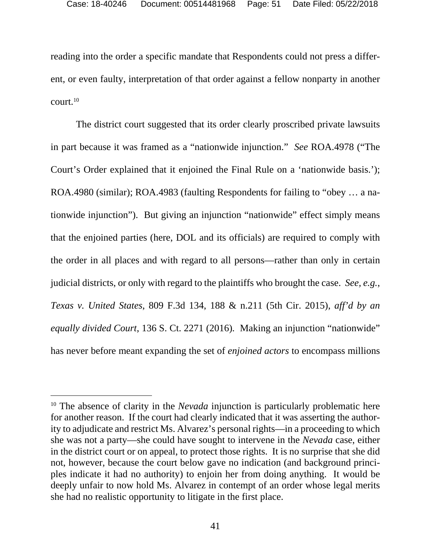reading into the order a specific mandate that Respondents could not press a different, or even faulty, interpretation of that order against a fellow nonparty in another court.10

The district court suggested that its order clearly proscribed private lawsuits in part because it was framed as a "nationwide injunction." *See* ROA.4978 ("The Court's Order explained that it enjoined the Final Rule on a 'nationwide basis.'); ROA.4980 (similar); ROA.4983 (faulting Respondents for failing to "obey … a nationwide injunction"). But giving an injunction "nationwide" effect simply means that the enjoined parties (here, DOL and its officials) are required to comply with the order in all places and with regard to all persons—rather than only in certain judicial districts, or only with regard to the plaintiffs who brought the case. *See, e.g.*, *Texas v. United States*, 809 F.3d 134, 188 & n.211 (5th Cir. 2015), *aff'd by an equally divided Court*, 136 S. Ct. 2271 (2016)*.* Making an injunction "nationwide" has never before meant expanding the set of *enjoined actors* to encompass millions

 $\overline{a}$ 

<sup>&</sup>lt;sup>10</sup> The absence of clarity in the *Nevada* injunction is particularly problematic here for another reason. If the court had clearly indicated that it was asserting the authority to adjudicate and restrict Ms. Alvarez's personal rights—in a proceeding to which she was not a party—she could have sought to intervene in the *Nevada* case, either in the district court or on appeal, to protect those rights. It is no surprise that she did not, however, because the court below gave no indication (and background principles indicate it had no authority) to enjoin her from doing anything. It would be deeply unfair to now hold Ms. Alvarez in contempt of an order whose legal merits she had no realistic opportunity to litigate in the first place.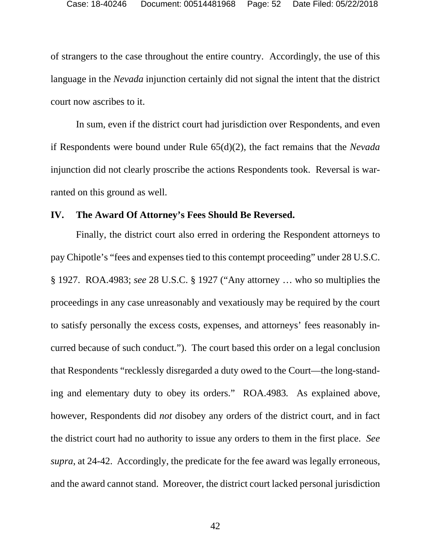of strangers to the case throughout the entire country. Accordingly, the use of this language in the *Nevada* injunction certainly did not signal the intent that the district court now ascribes to it.

In sum, even if the district court had jurisdiction over Respondents, and even if Respondents were bound under Rule 65(d)(2), the fact remains that the *Nevada* injunction did not clearly proscribe the actions Respondents took. Reversal is warranted on this ground as well.

#### **IV. The Award Of Attorney's Fees Should Be Reversed.**

Finally, the district court also erred in ordering the Respondent attorneys to pay Chipotle's "fees and expenses tied to this contempt proceeding" under 28 U.S.C. § 1927. ROA.4983; *see* 28 U.S.C. § 1927 ("Any attorney … who so multiplies the proceedings in any case unreasonably and vexatiously may be required by the court to satisfy personally the excess costs, expenses, and attorneys' fees reasonably incurred because of such conduct."). The court based this order on a legal conclusion that Respondents "recklessly disregarded a duty owed to the Court—the long-standing and elementary duty to obey its orders." ROA.4983*.* As explained above, however, Respondents did *not* disobey any orders of the district court, and in fact the district court had no authority to issue any orders to them in the first place. *See supra*, at 24-42. Accordingly, the predicate for the fee award was legally erroneous, and the award cannot stand. Moreover, the district court lacked personal jurisdiction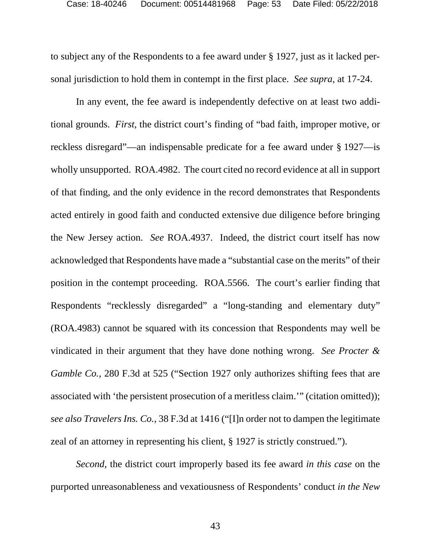to subject any of the Respondents to a fee award under § 1927, just as it lacked personal jurisdiction to hold them in contempt in the first place. *See supra*, at 17-24.

In any event, the fee award is independently defective on at least two additional grounds. *First*, the district court's finding of "bad faith, improper motive, or reckless disregard"—an indispensable predicate for a fee award under § 1927—is wholly unsupported. ROA.4982. The court cited no record evidence at all in support of that finding, and the only evidence in the record demonstrates that Respondents acted entirely in good faith and conducted extensive due diligence before bringing the New Jersey action. *See* ROA.4937. Indeed, the district court itself has now acknowledged that Respondents have made a "substantial case on the merits" of their position in the contempt proceeding. ROA.5566. The court's earlier finding that Respondents "recklessly disregarded" a "long-standing and elementary duty" (ROA.4983) cannot be squared with its concession that Respondents may well be vindicated in their argument that they have done nothing wrong. *See Procter & Gamble Co.*, 280 F.3d at 525 ("Section 1927 only authorizes shifting fees that are associated with 'the persistent prosecution of a meritless claim.'" (citation omitted)); *see also Travelers Ins. Co.*, 38 F.3d at 1416 ("[I]n order not to dampen the legitimate zeal of an attorney in representing his client, § 1927 is strictly construed.").

*Second*, the district court improperly based its fee award *in this case* on the purported unreasonableness and vexatiousness of Respondents' conduct *in the New*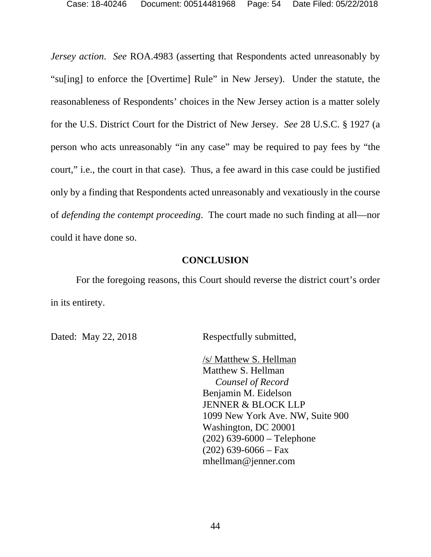Case: 18-40246 Document: 00514481968 Page: 54 Date Filed: 05/22/2018

*Jersey action*. *See* ROA.4983 (asserting that Respondents acted unreasonably by "su[ing] to enforce the [Overtime] Rule" in New Jersey). Under the statute, the reasonableness of Respondents' choices in the New Jersey action is a matter solely for the U.S. District Court for the District of New Jersey. *See* 28 U.S.C. § 1927 (a person who acts unreasonably "in any case" may be required to pay fees by "the court," i.e., the court in that case). Thus, a fee award in this case could be justified only by a finding that Respondents acted unreasonably and vexatiously in the course of *defending the contempt proceeding*. The court made no such finding at all—nor could it have done so.

#### **CONCLUSION**

For the foregoing reasons, this Court should reverse the district court's order in its entirety.

Dated: May 22, 2018 Respectfully submitted,

/s/ Matthew S. Hellman Matthew S. Hellman *Counsel of Record*  Benjamin M. Eidelson JENNER & BLOCK LLP 1099 New York Ave. NW, Suite 900 Washington, DC 20001 (202) 639-6000 – Telephone  $(202)$  639-6066 – Fax mhellman@jenner.com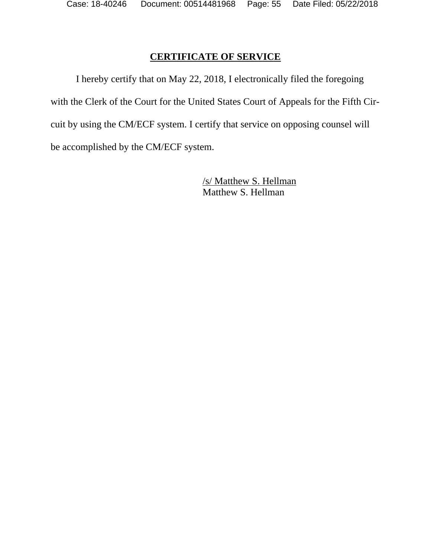## **CERTIFICATE OF SERVICE**

I hereby certify that on May 22, 2018, I electronically filed the foregoing with the Clerk of the Court for the United States Court of Appeals for the Fifth Circuit by using the CM/ECF system. I certify that service on opposing counsel will be accomplished by the CM/ECF system.

> /s/ Matthew S. Hellman Matthew S. Hellman